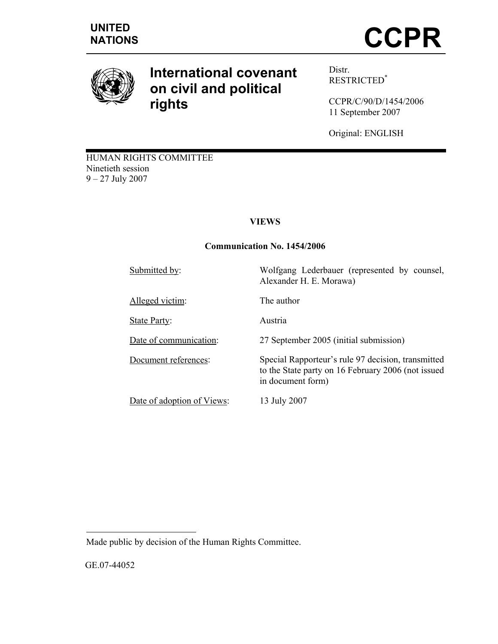

# **International covenant on civil and political rights**

Distr. RESTRICTED\*

CCPR/C/90/D/1454/2006 11 September 2007

Original: ENGLISH

HUMAN RIGHTS COMMITTEE Ninetieth session 9 – 27 July 2007

# **VIEWS**

## **Communication No. 1454/2006**

| Submitted by:              | Wolfgang Lederbauer (represented by counsel,<br>Alexander H. E. Morawa)                                                       |
|----------------------------|-------------------------------------------------------------------------------------------------------------------------------|
| Alleged victim:            | The author                                                                                                                    |
| State Party:               | Austria                                                                                                                       |
| Date of communication:     | 27 September 2005 (initial submission)                                                                                        |
| Document references:       | Special Rapporteur's rule 97 decision, transmitted<br>to the State party on 16 February 2006 (not issued<br>in document form) |
| Date of adoption of Views: | 13 July 2007                                                                                                                  |

Made public by decision of the Human Rights Committee.

GE.07-44052

 $\overline{a}$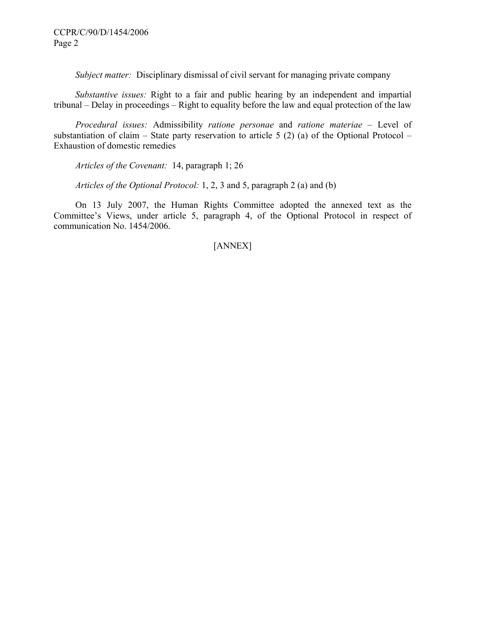*Subject matter:* Disciplinary dismissal of civil servant for managing private company

 *Substantive issues:* Right to a fair and public hearing by an independent and impartial tribunal – Delay in proceedings – Right to equality before the law and equal protection of the law

 *Procedural issues:* Admissibility *ratione personae* and *ratione materiae* – Level of substantiation of claim – State party reservation to article 5  $(2)$  (a) of the Optional Protocol – Exhaustion of domestic remedies

 *Articles of the Covenant:* 14, paragraph 1; 26

 *Articles of the Optional Protocol:* 1, 2, 3 and 5, paragraph 2 (a) and (b)

 On 13 July 2007, the Human Rights Committee adopted the annexed text as the Committee's Views, under article 5, paragraph 4, of the Optional Protocol in respect of communication No. 1454/2006.

# [ANNEX]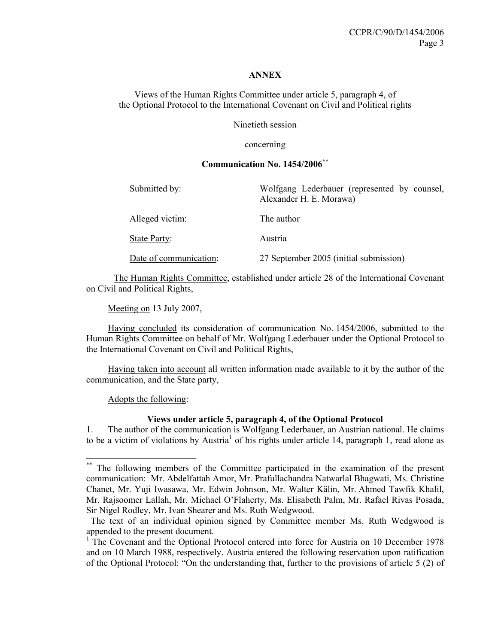#### **ANNEX**

Views of the Human Rights Committee under article 5, paragraph 4, of the Optional Protocol to the International Covenant on Civil and Political rights

Ninetieth session

concerning

## **Communication No. 1454/2006\*\***

| Submitted by:          | Wolfgang Lederbauer (represented by counsel,<br>Alexander H. E. Morawa) |
|------------------------|-------------------------------------------------------------------------|
| Alleged victim:        | The author                                                              |
| State Party:           | Austria                                                                 |
| Date of communication: | 27 September 2005 (initial submission)                                  |

The Human Rights Committee, established under article 28 of the International Covenant on Civil and Political Rights,

Meeting on 13 July 2007,

 Having concluded its consideration of communication No. 1454/2006, submitted to the Human Rights Committee on behalf of Mr. Wolfgang Lederbauer under the Optional Protocol to the International Covenant on Civil and Political Rights,

 Having taken into account all written information made available to it by the author of the communication, and the State party,

Adopts the following:

 $\overline{a}$ 

## **Views under article 5, paragraph 4, of the Optional Protocol**

1. The author of the communication is Wolfgang Lederbauer, an Austrian national. He claims to be a victim of violations by Austria<sup>1</sup> of his rights under article 14, paragraph 1, read alone as

<sup>\*\*</sup> The following members of the Committee participated in the examination of the present communication: Mr. Abdelfattah Amor, Mr. Prafullachandra Natwarlal Bhagwati, Ms. Christine Chanet, Mr. Yuji Iwasawa, Mr. Edwin Johnson, Mr. Walter Kälin, Mr. Ahmed Tawfik Khalil, Mr. Rajsoomer Lallah, Mr. Michael O'Flaherty, Ms. Elisabeth Palm, Mr. Rafael Rivas Posada, Sir Nigel Rodley, Mr. Ivan Shearer and Ms. Ruth Wedgwood.

The text of an individual opinion signed by Committee member Ms. Ruth Wedgwood is appended to the present document.

<sup>&</sup>lt;sup>1</sup>The Covenant and the Optional Protocol entered into force for Austria on 10 December 1978 and on 10 March 1988, respectively. Austria entered the following reservation upon ratification of the Optional Protocol: "On the understanding that, further to the provisions of article 5 (2) of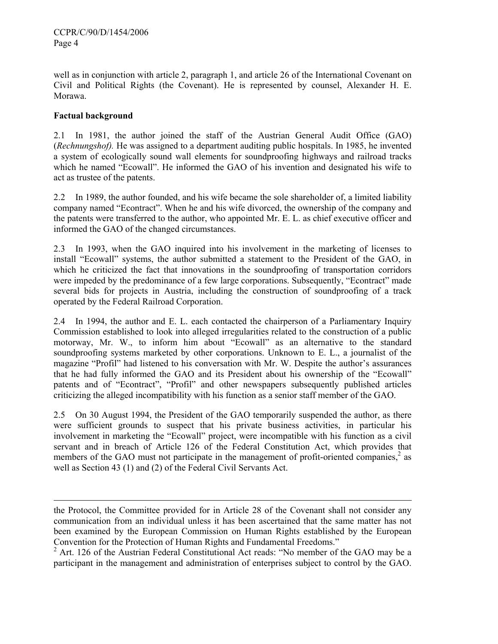well as in conjunction with article 2, paragraph 1, and article 26 of the International Covenant on Civil and Political Rights (the Covenant). He is represented by counsel, Alexander H. E. Morawa.

# **Factual background**

l

2.1 In 1981, the author joined the staff of the Austrian General Audit Office (GAO) (*Rechnungshof).* He was assigned to a department auditing public hospitals. In 1985, he invented a system of ecologically sound wall elements for soundproofing highways and railroad tracks which he named "Ecowall". He informed the GAO of his invention and designated his wife to act as trustee of the patents.

2.2 In 1989, the author founded, and his wife became the sole shareholder of, a limited liability company named "Econtract". When he and his wife divorced, the ownership of the company and the patents were transferred to the author, who appointed Mr. E. L. as chief executive officer and informed the GAO of the changed circumstances.

2.3 In 1993, when the GAO inquired into his involvement in the marketing of licenses to install "Ecowall" systems, the author submitted a statement to the President of the GAO, in which he criticized the fact that innovations in the soundproofing of transportation corridors were impeded by the predominance of a few large corporations. Subsequently, "Econtract" made several bids for projects in Austria, including the construction of soundproofing of a track operated by the Federal Railroad Corporation.

2.4 In 1994, the author and E. L. each contacted the chairperson of a Parliamentary Inquiry Commission established to look into alleged irregularities related to the construction of a public motorway, Mr. W., to inform him about "Ecowall" as an alternative to the standard soundproofing systems marketed by other corporations. Unknown to E. L., a journalist of the magazine "Profil" had listened to his conversation with Mr. W. Despite the author's assurances that he had fully informed the GAO and its President about his ownership of the "Ecowall" patents and of "Econtract", "Profil" and other newspapers subsequently published articles criticizing the alleged incompatibility with his function as a senior staff member of the GAO.

2.5 On 30 August 1994, the President of the GAO temporarily suspended the author, as there were sufficient grounds to suspect that his private business activities, in particular his involvement in marketing the "Ecowall" project, were incompatible with his function as a civil servant and in breach of Article 126 of the Federal Constitution Act, which provides that members of the GAO must not participate in the management of profit-oriented companies, $\frac{2}{3}$  as well as Section 43 (1) and (2) of the Federal Civil Servants Act.

the Protocol, the Committee provided for in Article 28 of the Covenant shall not consider any communication from an individual unless it has been ascertained that the same matter has not been examined by the European Commission on Human Rights established by the European Convention for the Protection of Human Rights and Fundamental Freedoms."

 $2^2$  Art. 126 of the Austrian Federal Constitutional Act reads: "No member of the GAO may be a participant in the management and administration of enterprises subject to control by the GAO.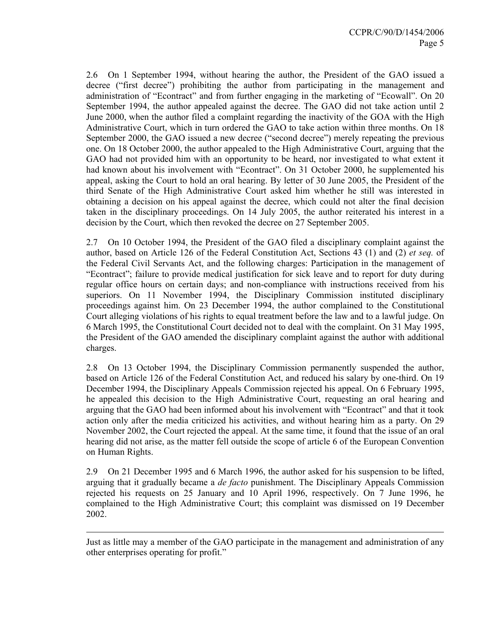2.6 On 1 September 1994, without hearing the author, the President of the GAO issued a decree ("first decree") prohibiting the author from participating in the management and administration of "Econtract" and from further engaging in the marketing of "Ecowall". On 20 September 1994, the author appealed against the decree. The GAO did not take action until 2 June 2000, when the author filed a complaint regarding the inactivity of the GOA with the High Administrative Court, which in turn ordered the GAO to take action within three months. On 18 September 2000, the GAO issued a new decree ("second decree") merely repeating the previous one. On 18 October 2000, the author appealed to the High Administrative Court, arguing that the GAO had not provided him with an opportunity to be heard, nor investigated to what extent it had known about his involvement with "Econtract". On 31 October 2000, he supplemented his appeal, asking the Court to hold an oral hearing. By letter of 30 June 2005, the President of the third Senate of the High Administrative Court asked him whether he still was interested in obtaining a decision on his appeal against the decree, which could not alter the final decision taken in the disciplinary proceedings. On 14 July 2005, the author reiterated his interest in a decision by the Court, which then revoked the decree on 27 September 2005.

2.7 On 10 October 1994, the President of the GAO filed a disciplinary complaint against the author, based on Article 126 of the Federal Constitution Act, Sections 43 (1) and (2) *et seq.* of the Federal Civil Servants Act, and the following charges: Participation in the management of "Econtract"; failure to provide medical justification for sick leave and to report for duty during regular office hours on certain days; and non-compliance with instructions received from his superiors. On 11 November 1994, the Disciplinary Commission instituted disciplinary proceedings against him. On 23 December 1994, the author complained to the Constitutional Court alleging violations of his rights to equal treatment before the law and to a lawful judge. On 6 March 1995, the Constitutional Court decided not to deal with the complaint. On 31 May 1995, the President of the GAO amended the disciplinary complaint against the author with additional charges.

2.8 On 13 October 1994, the Disciplinary Commission permanently suspended the author, based on Article 126 of the Federal Constitution Act, and reduced his salary by one-third. On 19 December 1994, the Disciplinary Appeals Commission rejected his appeal. On 6 February 1995, he appealed this decision to the High Administrative Court, requesting an oral hearing and arguing that the GAO had been informed about his involvement with "Econtract" and that it took action only after the media criticized his activities, and without hearing him as a party. On 29 November 2002, the Court rejected the appeal. At the same time, it found that the issue of an oral hearing did not arise, as the matter fell outside the scope of article 6 of the European Convention on Human Rights.

2.9 On 21 December 1995 and 6 March 1996, the author asked for his suspension to be lifted, arguing that it gradually became a *de facto* punishment. The Disciplinary Appeals Commission rejected his requests on 25 January and 10 April 1996, respectively. On 7 June 1996, he complained to the High Administrative Court; this complaint was dismissed on 19 December 2002.

Just as little may a member of the GAO participate in the management and administration of any other enterprises operating for profit."

-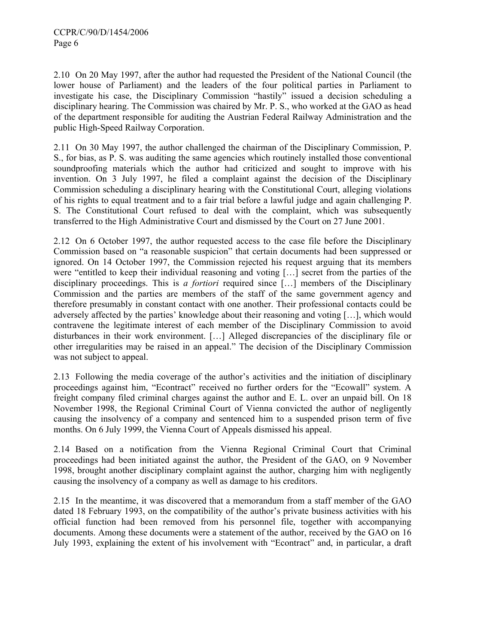2.10 On 20 May 1997, after the author had requested the President of the National Council (the lower house of Parliament) and the leaders of the four political parties in Parliament to investigate his case, the Disciplinary Commission "hastily" issued a decision scheduling a disciplinary hearing. The Commission was chaired by Mr. P. S., who worked at the GAO as head of the department responsible for auditing the Austrian Federal Railway Administration and the public High-Speed Railway Corporation.

2.11 On 30 May 1997, the author challenged the chairman of the Disciplinary Commission, P. S., for bias, as P. S. was auditing the same agencies which routinely installed those conventional soundproofing materials which the author had criticized and sought to improve with his invention. On 3 July 1997, he filed a complaint against the decision of the Disciplinary Commission scheduling a disciplinary hearing with the Constitutional Court, alleging violations of his rights to equal treatment and to a fair trial before a lawful judge and again challenging P. S. The Constitutional Court refused to deal with the complaint, which was subsequently transferred to the High Administrative Court and dismissed by the Court on 27 June 2001.

2.12 On 6 October 1997, the author requested access to the case file before the Disciplinary Commission based on "a reasonable suspicion" that certain documents had been suppressed or ignored. On 14 October 1997, the Commission rejected his request arguing that its members were "entitled to keep their individual reasoning and voting […] secret from the parties of the disciplinary proceedings. This is *a fortiori* required since […] members of the Disciplinary Commission and the parties are members of the staff of the same government agency and therefore presumably in constant contact with one another. Their professional contacts could be adversely affected by the parties' knowledge about their reasoning and voting […], which would contravene the legitimate interest of each member of the Disciplinary Commission to avoid disturbances in their work environment. […] Alleged discrepancies of the disciplinary file or other irregularities may be raised in an appeal." The decision of the Disciplinary Commission was not subject to appeal.

2.13 Following the media coverage of the author's activities and the initiation of disciplinary proceedings against him, "Econtract" received no further orders for the "Ecowall" system. A freight company filed criminal charges against the author and E. L. over an unpaid bill. On 18 November 1998, the Regional Criminal Court of Vienna convicted the author of negligently causing the insolvency of a company and sentenced him to a suspended prison term of five months. On 6 July 1999, the Vienna Court of Appeals dismissed his appeal.

2.14 Based on a notification from the Vienna Regional Criminal Court that Criminal proceedings had been initiated against the author, the President of the GAO, on 9 November 1998, brought another disciplinary complaint against the author, charging him with negligently causing the insolvency of a company as well as damage to his creditors.

2.15 In the meantime, it was discovered that a memorandum from a staff member of the GAO dated 18 February 1993, on the compatibility of the author's private business activities with his official function had been removed from his personnel file, together with accompanying documents. Among these documents were a statement of the author, received by the GAO on 16 July 1993, explaining the extent of his involvement with "Econtract" and, in particular, a draft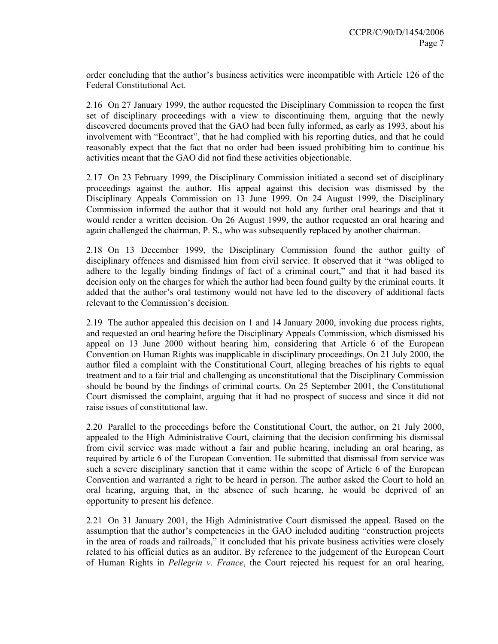order concluding that the author's business activities were incompatible with Article 126 of the Federal Constitutional Act.

2.16 On 27 January 1999, the author requested the Disciplinary Commission to reopen the first set of disciplinary proceedings with a view to discontinuing them, arguing that the newly discovered documents proved that the GAO had been fully informed, as early as 1993, about his involvement with "Econtract", that he had complied with his reporting duties, and that he could reasonably expect that the fact that no order had been issued prohibiting him to continue his activities meant that the GAO did not find these activities objectionable.

2.17 On 23 February 1999, the Disciplinary Commission initiated a second set of disciplinary proceedings against the author. His appeal against this decision was dismissed by the Disciplinary Appeals Commission on 13 June 1999. On 24 August 1999, the Disciplinary Commission informed the author that it would not hold any further oral hearings and that it would render a written decision. On 26 August 1999, the author requested an oral hearing and again challenged the chairman, P. S., who was subsequently replaced by another chairman.

2.18 On 13 December 1999, the Disciplinary Commission found the author guilty of disciplinary offences and dismissed him from civil service. It observed that it "was obliged to adhere to the legally binding findings of fact of a criminal court," and that it had based its decision only on the charges for which the author had been found guilty by the criminal courts. It added that the author's oral testimony would not have led to the discovery of additional facts relevant to the Commission's decision.

2.19 The author appealed this decision on 1 and 14 January 2000, invoking due process rights, and requested an oral hearing before the Disciplinary Appeals Commission, which dismissed his appeal on 13 June 2000 without hearing him, considering that Article 6 of the European Convention on Human Rights was inapplicable in disciplinary proceedings. On 21 July 2000, the author filed a complaint with the Constitutional Court, alleging breaches of his rights to equal treatment and to a fair trial and challenging as unconstitutional that the Disciplinary Commission should be bound by the findings of criminal courts. On 25 September 2001, the Constitutional Court dismissed the complaint, arguing that it had no prospect of success and since it did not raise issues of constitutional law.

2.20 Parallel to the proceedings before the Constitutional Court, the author, on 21 July 2000, appealed to the High Administrative Court, claiming that the decision confirming his dismissal from civil service was made without a fair and public hearing, including an oral hearing, as required by article 6 of the European Convention. He submitted that dismissal from service was such a severe disciplinary sanction that it came within the scope of Article 6 of the European Convention and warranted a right to be heard in person. The author asked the Court to hold an oral hearing, arguing that, in the absence of such hearing, he would be deprived of an opportunity to present his defence.

2.21 On 31 January 2001, the High Administrative Court dismissed the appeal. Based on the assumption that the author's competencies in the GAO included auditing "construction projects in the area of roads and railroads," it concluded that his private business activities were closely related to his official duties as an auditor. By reference to the judgement of the European Court of Human Rights in *Pellegrin v. France*, the Court rejected his request for an oral hearing,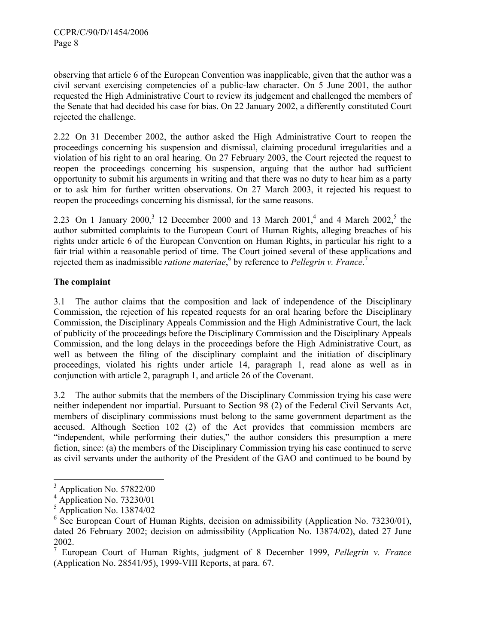observing that article 6 of the European Convention was inapplicable, given that the author was a civil servant exercising competencies of a public-law character. On 5 June 2001, the author requested the High Administrative Court to review its judgement and challenged the members of the Senate that had decided his case for bias. On 22 January 2002, a differently constituted Court rejected the challenge.

2.22 On 31 December 2002, the author asked the High Administrative Court to reopen the proceedings concerning his suspension and dismissal, claiming procedural irregularities and a violation of his right to an oral hearing. On 27 February 2003, the Court rejected the request to reopen the proceedings concerning his suspension, arguing that the author had sufficient opportunity to submit his arguments in writing and that there was no duty to hear him as a party or to ask him for further written observations. On 27 March 2003, it rejected his request to reopen the proceedings concerning his dismissal, for the same reasons.

2.23 On 1 January 2000,<sup>3</sup> 12 December 2000 and 13 March 2001,<sup>4</sup> and 4 March 2002,<sup>5</sup> the author submitted complaints to the European Court of Human Rights, alleging breaches of his rights under article 6 of the European Convention on Human Rights, in particular his right to a fair trial within a reasonable period of time. The Court joined several of these applications and rejected them as inadmissible *ratione materiae*,<sup>6</sup> by reference to *Pellegrin v. France*.<sup>7</sup>

# **The complaint**

3.1 The author claims that the composition and lack of independence of the Disciplinary Commission, the rejection of his repeated requests for an oral hearing before the Disciplinary Commission, the Disciplinary Appeals Commission and the High Administrative Court, the lack of publicity of the proceedings before the Disciplinary Commission and the Disciplinary Appeals Commission, and the long delays in the proceedings before the High Administrative Court, as well as between the filing of the disciplinary complaint and the initiation of disciplinary proceedings, violated his rights under article 14, paragraph 1, read alone as well as in conjunction with article 2, paragraph 1, and article 26 of the Covenant.

3.2 The author submits that the members of the Disciplinary Commission trying his case were neither independent nor impartial. Pursuant to Section 98 (2) of the Federal Civil Servants Act, members of disciplinary commissions must belong to the same government department as the accused. Although Section 102 (2) of the Act provides that commission members are "independent, while performing their duties," the author considers this presumption a mere fiction, since: (a) the members of the Disciplinary Commission trying his case continued to serve as civil servants under the authority of the President of the GAO and continued to be bound by

<sup>&</sup>lt;sup>3</sup> Application No. 57822/00

 $4$  Application No. 73230/01

<sup>5</sup> Application No. 13874/02

<sup>&</sup>lt;sup>6</sup> See European Court of Human Rights, decision on admissibility (Application No. 73230/01), dated 26 February 2002; decision on admissibility (Application No. 13874/02), dated 27 June 2002.

<sup>7</sup> European Court of Human Rights, judgment of 8 December 1999, *Pellegrin v. France* (Application No. 28541/95), 1999-VIII Reports, at para. 67.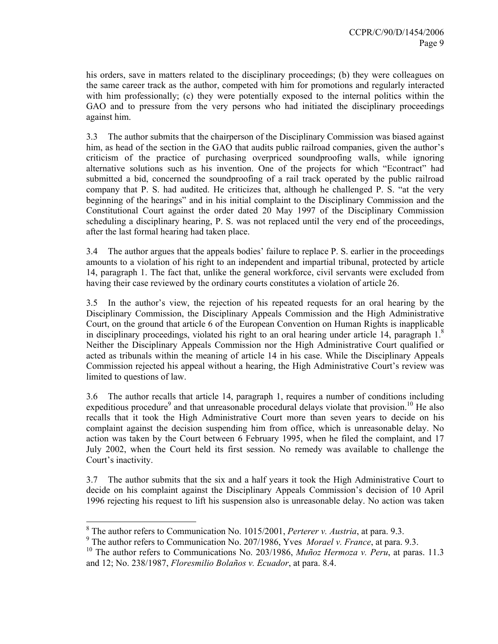his orders, save in matters related to the disciplinary proceedings; (b) they were colleagues on the same career track as the author, competed with him for promotions and regularly interacted with him professionally; (c) they were potentially exposed to the internal politics within the GAO and to pressure from the very persons who had initiated the disciplinary proceedings against him.

3.3 The author submits that the chairperson of the Disciplinary Commission was biased against him, as head of the section in the GAO that audits public railroad companies, given the author's criticism of the practice of purchasing overpriced soundproofing walls, while ignoring alternative solutions such as his invention. One of the projects for which "Econtract" had submitted a bid, concerned the soundproofing of a rail track operated by the public railroad company that P. S. had audited. He criticizes that, although he challenged P. S. "at the very beginning of the hearings" and in his initial complaint to the Disciplinary Commission and the Constitutional Court against the order dated 20 May 1997 of the Disciplinary Commission scheduling a disciplinary hearing, P. S. was not replaced until the very end of the proceedings, after the last formal hearing had taken place.

3.4 The author argues that the appeals bodies' failure to replace P. S. earlier in the proceedings amounts to a violation of his right to an independent and impartial tribunal, protected by article 14, paragraph 1. The fact that, unlike the general workforce, civil servants were excluded from having their case reviewed by the ordinary courts constitutes a violation of article 26.

3.5 In the author's view, the rejection of his repeated requests for an oral hearing by the Disciplinary Commission, the Disciplinary Appeals Commission and the High Administrative Court, on the ground that article 6 of the European Convention on Human Rights is inapplicable in disciplinary proceedings, violated his right to an oral hearing under article 14, paragraph  $1<sup>8</sup>$ Neither the Disciplinary Appeals Commission nor the High Administrative Court qualified or acted as tribunals within the meaning of article 14 in his case. While the Disciplinary Appeals Commission rejected his appeal without a hearing, the High Administrative Court's review was limited to questions of law.

3.6 The author recalls that article 14, paragraph 1, requires a number of conditions including expeditious procedure<sup>9</sup> and that unreasonable procedural delays violate that provision.<sup>10</sup> He also recalls that it took the High Administrative Court more than seven years to decide on his complaint against the decision suspending him from office, which is unreasonable delay. No action was taken by the Court between 6 February 1995, when he filed the complaint, and 17 July 2002, when the Court held its first session. No remedy was available to challenge the Court's inactivity.

3.7 The author submits that the six and a half years it took the High Administrative Court to decide on his complaint against the Disciplinary Appeals Commission's decision of 10 April 1996 rejecting his request to lift his suspension also is unreasonable delay. No action was taken

 $\overline{a}$ 

<sup>8</sup> The author refers to Communication No. 1015/2001, *Perterer v. Austria*, at para. 9.3.

<sup>9</sup> The author refers to Communication No. 207/1986, Yves *Morael v. France*, at para. 9.3.

<sup>&</sup>lt;sup>10</sup> The author refers to Communications No. 203/1986, *Muñoz Hermoza v. Peru*, at paras. 11.3 and 12; No. 238/1987, *Floresmilio Bolaños v. Ecuador*, at para. 8.4.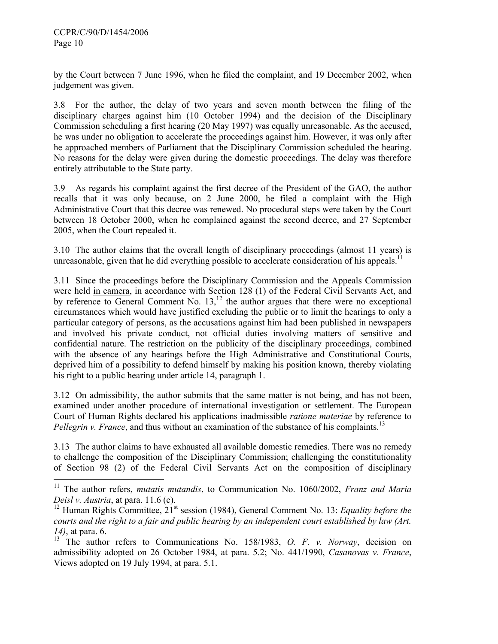$\overline{a}$ 

by the Court between 7 June 1996, when he filed the complaint, and 19 December 2002, when judgement was given.

3.8 For the author, the delay of two years and seven month between the filing of the disciplinary charges against him (10 October 1994) and the decision of the Disciplinary Commission scheduling a first hearing (20 May 1997) was equally unreasonable. As the accused, he was under no obligation to accelerate the proceedings against him. However, it was only after he approached members of Parliament that the Disciplinary Commission scheduled the hearing. No reasons for the delay were given during the domestic proceedings. The delay was therefore entirely attributable to the State party.

3.9 As regards his complaint against the first decree of the President of the GAO, the author recalls that it was only because, on 2 June 2000, he filed a complaint with the High Administrative Court that this decree was renewed. No procedural steps were taken by the Court between 18 October 2000, when he complained against the second decree, and 27 September 2005, when the Court repealed it.

3.10 The author claims that the overall length of disciplinary proceedings (almost 11 years) is unreasonable, given that he did everything possible to accelerate consideration of his appeals.<sup>11</sup>

3.11 Since the proceedings before the Disciplinary Commission and the Appeals Commission were held in camera, in accordance with Section 128 (1) of the Federal Civil Servants Act, and by reference to General Comment No.  $13$ ,  $12$  the author argues that there were no exceptional circumstances which would have justified excluding the public or to limit the hearings to only a particular category of persons, as the accusations against him had been published in newspapers and involved his private conduct, not official duties involving matters of sensitive and confidential nature. The restriction on the publicity of the disciplinary proceedings, combined with the absence of any hearings before the High Administrative and Constitutional Courts, deprived him of a possibility to defend himself by making his position known, thereby violating his right to a public hearing under article 14, paragraph 1.

3.12 On admissibility, the author submits that the same matter is not being, and has not been, examined under another procedure of international investigation or settlement. The European Court of Human Rights declared his applications inadmissible *ratione materiae* by reference to *Pellegrin v. France*, and thus without an examination of the substance of his complaints.<sup>13</sup>

3.13 The author claims to have exhausted all available domestic remedies. There was no remedy to challenge the composition of the Disciplinary Commission; challenging the constitutionality of Section 98 (2) of the Federal Civil Servants Act on the composition of disciplinary

<sup>11</sup> The author refers, *mutatis mutandis*, to Communication No. 1060/2002, *Franz and Maria Deisl v. Austria*, at para. 11.6 (c).

<sup>&</sup>lt;sup>12</sup> Human Rights Committee,  $21^{st}$  session (1984), General Comment No. 13: *Equality before the courts and the right to a fair and public hearing by an independent court established by law (Art. 14)*, at para. 6.

<sup>&</sup>lt;sup>13</sup> The author refers to Communications No. 158/1983, *O. F. v. Norway*, decision on admissibility adopted on 26 October 1984, at para. 5.2; No. 441/1990, *Casanovas v. France*, Views adopted on 19 July 1994, at para. 5.1.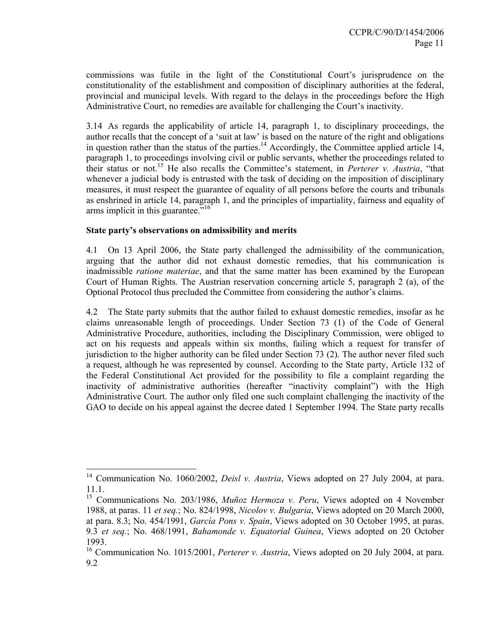commissions was futile in the light of the Constitutional Court's jurisprudence on the constitutionality of the establishment and composition of disciplinary authorities at the federal, provincial and municipal levels. With regard to the delays in the proceedings before the High Administrative Court, no remedies are available for challenging the Court's inactivity.

3.14 As regards the applicability of article 14, paragraph 1, to disciplinary proceedings, the author recalls that the concept of a 'suit at law' is based on the nature of the right and obligations in question rather than the status of the parties.<sup>14</sup> Accordingly, the Committee applied article 14, paragraph 1, to proceedings involving civil or public servants, whether the proceedings related to their status or not.15 He also recalls the Committee's statement, in *Perterer v. Austria*, "that whenever a judicial body is entrusted with the task of deciding on the imposition of disciplinary measures, it must respect the guarantee of equality of all persons before the courts and tribunals as enshrined in article 14, paragraph 1, and the principles of impartiality, fairness and equality of arms implicit in this guarantee."<sup>16</sup>

## **State party's observations on admissibility and merits**

 $\overline{a}$ 

4.1 On 13 April 2006, the State party challenged the admissibility of the communication, arguing that the author did not exhaust domestic remedies, that his communication is inadmissible *ratione materiae*, and that the same matter has been examined by the European Court of Human Rights. The Austrian reservation concerning article 5, paragraph 2 (a), of the Optional Protocol thus precluded the Committee from considering the author's claims.

4.2 The State party submits that the author failed to exhaust domestic remedies, insofar as he claims unreasonable length of proceedings. Under Section 73 (1) of the Code of General Administrative Procedure, authorities, including the Disciplinary Commission, were obliged to act on his requests and appeals within six months, failing which a request for transfer of jurisdiction to the higher authority can be filed under Section 73 (2). The author never filed such a request, although he was represented by counsel. According to the State party, Article 132 of the Federal Constitutional Act provided for the possibility to file a complaint regarding the inactivity of administrative authorities (hereafter "inactivity complaint") with the High Administrative Court. The author only filed one such complaint challenging the inactivity of the GAO to decide on his appeal against the decree dated 1 September 1994. The State party recalls

<sup>&</sup>lt;sup>14</sup> Communication No. 1060/2002, *Deisl v. Austria*, Views adopted on 27 July 2004, at para. 11.1.

<sup>&</sup>lt;sup>15</sup> Communications No. 203/1986, *Muñoz Hermoza v. Peru*, Views adopted on 4 November 1988, at paras. 11 *et seq.*; No. 824/1998, *Nicolov v. Bulgaria*, Views adopted on 20 March 2000, at para. 8.3; No. 454/1991, *García Pons v. Spain*, Views adopted on 30 October 1995, at paras. 9.3 *et seq.*; No. 468/1991, *Bahamonde v. Equatorial Guinea*, Views adopted on 20 October 1993.

<sup>16</sup> Communication No. 1015/2001, *Perterer v. Austria*, Views adopted on 20 July 2004, at para. 9.2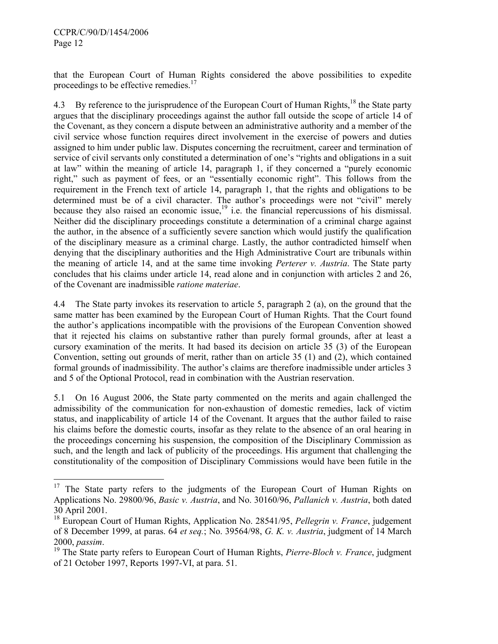$\overline{a}$ 

that the European Court of Human Rights considered the above possibilities to expedite proceedings to be effective remedies. $17$ 

4.3 By reference to the jurisprudence of the European Court of Human Rights,<sup>18</sup> the State party argues that the disciplinary proceedings against the author fall outside the scope of article 14 of the Covenant, as they concern a dispute between an administrative authority and a member of the civil service whose function requires direct involvement in the exercise of powers and duties assigned to him under public law. Disputes concerning the recruitment, career and termination of service of civil servants only constituted a determination of one's "rights and obligations in a suit at law" within the meaning of article 14, paragraph 1, if they concerned a "purely economic right," such as payment of fees, or an "essentially economic right". This follows from the requirement in the French text of article 14, paragraph 1, that the rights and obligations to be determined must be of a civil character. The author's proceedings were not "civil" merely because they also raised an economic issue,<sup>19</sup> i.e. the financial repercussions of his dismissal. Neither did the disciplinary proceedings constitute a determination of a criminal charge against the author, in the absence of a sufficiently severe sanction which would justify the qualification of the disciplinary measure as a criminal charge. Lastly, the author contradicted himself when denying that the disciplinary authorities and the High Administrative Court are tribunals within the meaning of article 14, and at the same time invoking *Perterer v. Austria*. The State party concludes that his claims under article 14, read alone and in conjunction with articles 2 and 26, of the Covenant are inadmissible *ratione materiae*.

4.4 The State party invokes its reservation to article 5, paragraph 2 (a), on the ground that the same matter has been examined by the European Court of Human Rights. That the Court found the author's applications incompatible with the provisions of the European Convention showed that it rejected his claims on substantive rather than purely formal grounds, after at least a cursory examination of the merits. It had based its decision on article 35 (3) of the European Convention, setting out grounds of merit, rather than on article 35 (1) and (2), which contained formal grounds of inadmissibility. The author's claims are therefore inadmissible under articles 3 and 5 of the Optional Protocol, read in combination with the Austrian reservation.

5.1 On 16 August 2006, the State party commented on the merits and again challenged the admissibility of the communication for non-exhaustion of domestic remedies, lack of victim status, and inapplicability of article 14 of the Covenant. It argues that the author failed to raise his claims before the domestic courts, insofar as they relate to the absence of an oral hearing in the proceedings concerning his suspension, the composition of the Disciplinary Commission as such, and the length and lack of publicity of the proceedings. His argument that challenging the constitutionality of the composition of Disciplinary Commissions would have been futile in the

<sup>&</sup>lt;sup>17</sup> The State party refers to the judgments of the European Court of Human Rights on Applications No. 29800/96, *Basic v. Austria*, and No. 30160/96, *Pallanich v. Austria*, both dated 30 April 2001.

<sup>18</sup> European Court of Human Rights, Application No. 28541/95, *Pellegrin v. France*, judgement of 8 December 1999, at paras. 64 *et seq.*; No. 39564/98, *G. K. v. Austria*, judgment of 14 March 2000, *passim*.<br><sup>19</sup> The State party refers to European Court of Human Rights, *Pierre-Bloch v. France*, judgment

of 21 October 1997, Reports 1997-VI, at para. 51.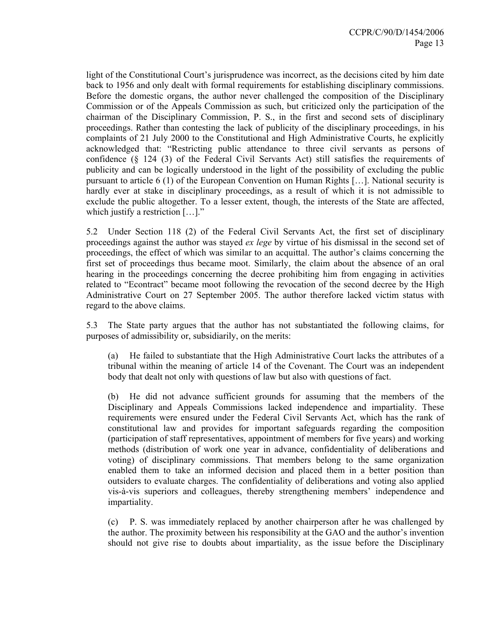light of the Constitutional Court's jurisprudence was incorrect, as the decisions cited by him date back to 1956 and only dealt with formal requirements for establishing disciplinary commissions. Before the domestic organs, the author never challenged the composition of the Disciplinary Commission or of the Appeals Commission as such, but criticized only the participation of the chairman of the Disciplinary Commission, P. S., in the first and second sets of disciplinary proceedings. Rather than contesting the lack of publicity of the disciplinary proceedings, in his complaints of 21 July 2000 to the Constitutional and High Administrative Courts, he explicitly acknowledged that: "Restricting public attendance to three civil servants as persons of confidence (§ 124 (3) of the Federal Civil Servants Act) still satisfies the requirements of publicity and can be logically understood in the light of the possibility of excluding the public pursuant to article 6 (1) of the European Convention on Human Rights […]. National security is hardly ever at stake in disciplinary proceedings, as a result of which it is not admissible to exclude the public altogether. To a lesser extent, though, the interests of the State are affected, which justify a restriction [...]."

5.2 Under Section 118 (2) of the Federal Civil Servants Act, the first set of disciplinary proceedings against the author was stayed *ex lege* by virtue of his dismissal in the second set of proceedings, the effect of which was similar to an acquittal. The author's claims concerning the first set of proceedings thus became moot. Similarly, the claim about the absence of an oral hearing in the proceedings concerning the decree prohibiting him from engaging in activities related to "Econtract" became moot following the revocation of the second decree by the High Administrative Court on 27 September 2005. The author therefore lacked victim status with regard to the above claims.

5.3 The State party argues that the author has not substantiated the following claims, for purposes of admissibility or, subsidiarily, on the merits:

(a) He failed to substantiate that the High Administrative Court lacks the attributes of a tribunal within the meaning of article 14 of the Covenant. The Court was an independent body that dealt not only with questions of law but also with questions of fact.

(b) He did not advance sufficient grounds for assuming that the members of the Disciplinary and Appeals Commissions lacked independence and impartiality. These requirements were ensured under the Federal Civil Servants Act, which has the rank of constitutional law and provides for important safeguards regarding the composition (participation of staff representatives, appointment of members for five years) and working methods (distribution of work one year in advance, confidentiality of deliberations and voting) of disciplinary commissions. That members belong to the same organization enabled them to take an informed decision and placed them in a better position than outsiders to evaluate charges. The confidentiality of deliberations and voting also applied vis-à-vis superiors and colleagues, thereby strengthening members' independence and impartiality.

(c) P. S. was immediately replaced by another chairperson after he was challenged by the author. The proximity between his responsibility at the GAO and the author's invention should not give rise to doubts about impartiality, as the issue before the Disciplinary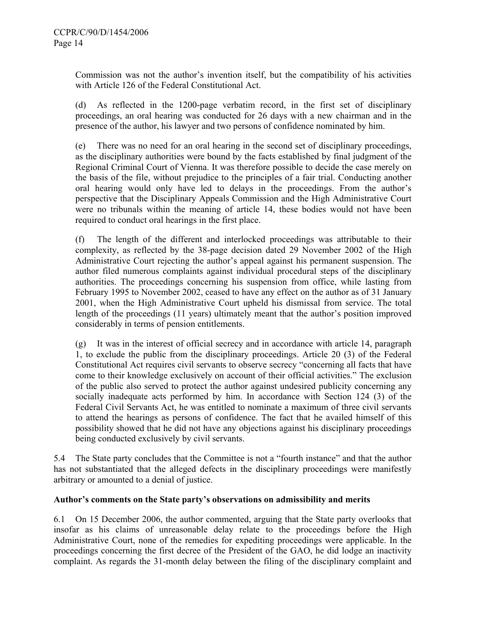Commission was not the author's invention itself, but the compatibility of his activities with Article 126 of the Federal Constitutional Act.

(d) As reflected in the 1200-page verbatim record, in the first set of disciplinary proceedings, an oral hearing was conducted for 26 days with a new chairman and in the presence of the author, his lawyer and two persons of confidence nominated by him.

(e) There was no need for an oral hearing in the second set of disciplinary proceedings, as the disciplinary authorities were bound by the facts established by final judgment of the Regional Criminal Court of Vienna. It was therefore possible to decide the case merely on the basis of the file, without prejudice to the principles of a fair trial. Conducting another oral hearing would only have led to delays in the proceedings. From the author's perspective that the Disciplinary Appeals Commission and the High Administrative Court were no tribunals within the meaning of article 14, these bodies would not have been required to conduct oral hearings in the first place.

(f) The length of the different and interlocked proceedings was attributable to their complexity, as reflected by the 38-page decision dated 29 November 2002 of the High Administrative Court rejecting the author's appeal against his permanent suspension. The author filed numerous complaints against individual procedural steps of the disciplinary authorities. The proceedings concerning his suspension from office, while lasting from February 1995 to November 2002, ceased to have any effect on the author as of 31 January 2001, when the High Administrative Court upheld his dismissal from service. The total length of the proceedings (11 years) ultimately meant that the author's position improved considerably in terms of pension entitlements.

(g) It was in the interest of official secrecy and in accordance with article 14, paragraph 1, to exclude the public from the disciplinary proceedings. Article 20 (3) of the Federal Constitutional Act requires civil servants to observe secrecy "concerning all facts that have come to their knowledge exclusively on account of their official activities." The exclusion of the public also served to protect the author against undesired publicity concerning any socially inadequate acts performed by him. In accordance with Section 124 (3) of the Federal Civil Servants Act, he was entitled to nominate a maximum of three civil servants to attend the hearings as persons of confidence. The fact that he availed himself of this possibility showed that he did not have any objections against his disciplinary proceedings being conducted exclusively by civil servants.

5.4 The State party concludes that the Committee is not a "fourth instance" and that the author has not substantiated that the alleged defects in the disciplinary proceedings were manifestly arbitrary or amounted to a denial of justice.

## **Author's comments on the State party's observations on admissibility and merits**

6.1 On 15 December 2006, the author commented, arguing that the State party overlooks that insofar as his claims of unreasonable delay relate to the proceedings before the High Administrative Court, none of the remedies for expediting proceedings were applicable. In the proceedings concerning the first decree of the President of the GAO, he did lodge an inactivity complaint. As regards the 31-month delay between the filing of the disciplinary complaint and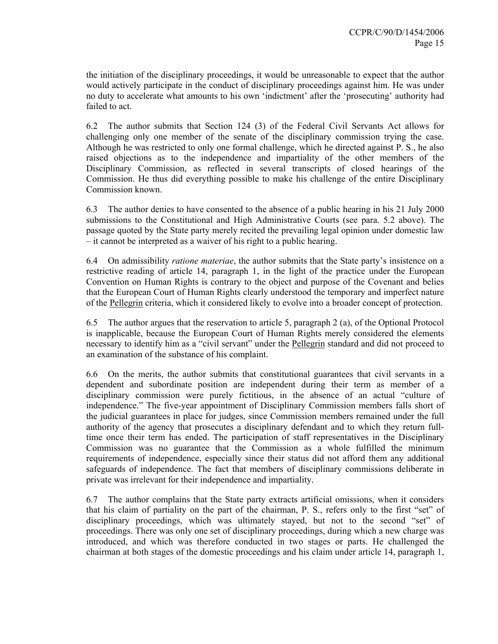the initiation of the disciplinary proceedings, it would be unreasonable to expect that the author would actively participate in the conduct of disciplinary proceedings against him. He was under no duty to accelerate what amounts to his own 'indictment' after the 'prosecuting' authority had failed to act.

6.2 The author submits that Section 124 (3) of the Federal Civil Servants Act allows for challenging only one member of the senate of the disciplinary commission trying the case. Although he was restricted to only one formal challenge, which he directed against P. S., he also raised objections as to the independence and impartiality of the other members of the Disciplinary Commission, as reflected in several transcripts of closed hearings of the Commission. He thus did everything possible to make his challenge of the entire Disciplinary Commission known.

6.3 The author denies to have consented to the absence of a public hearing in his 21 July 2000 submissions to the Constitutional and High Administrative Courts (see para. 5.2 above). The passage quoted by the State party merely recited the prevailing legal opinion under domestic law – it cannot be interpreted as a waiver of his right to a public hearing.

6.4 On admissibility *ratione materiae*, the author submits that the State party's insistence on a restrictive reading of article 14, paragraph 1, in the light of the practice under the European Convention on Human Rights is contrary to the object and purpose of the Covenant and belies that the European Court of Human Rights clearly understood the temporary and imperfect nature of the Pellegrin criteria, which it considered likely to evolve into a broader concept of protection.

6.5 The author argues that the reservation to article 5, paragraph 2 (a), of the Optional Protocol is inapplicable, because the European Court of Human Rights merely considered the elements necessary to identify him as a "civil servant" under the Pellegrin standard and did not proceed to an examination of the substance of his complaint.

6.6 On the merits, the author submits that constitutional guarantees that civil servants in a dependent and subordinate position are independent during their term as member of a disciplinary commission were purely fictitious, in the absence of an actual "culture of independence." The five-year appointment of Disciplinary Commission members falls short of the judicial guarantees in place for judges, since Commission members remained under the full authority of the agency that prosecutes a disciplinary defendant and to which they return fulltime once their term has ended. The participation of staff representatives in the Disciplinary Commission was no guarantee that the Commission as a whole fulfilled the minimum requirements of independence, especially since their status did not afford them any additional safeguards of independence. The fact that members of disciplinary commissions deliberate in private was irrelevant for their independence and impartiality.

6.7 The author complains that the State party extracts artificial omissions, when it considers that his claim of partiality on the part of the chairman, P. S., refers only to the first "set" of disciplinary proceedings, which was ultimately stayed, but not to the second "set" of proceedings. There was only one set of disciplinary proceedings, during which a new charge was introduced, and which was therefore conducted in two stages or parts. He challenged the chairman at both stages of the domestic proceedings and his claim under article 14, paragraph 1,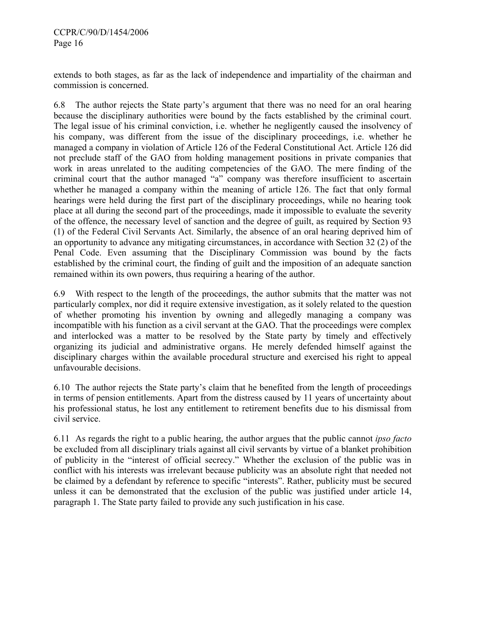extends to both stages, as far as the lack of independence and impartiality of the chairman and commission is concerned.

6.8 The author rejects the State party's argument that there was no need for an oral hearing because the disciplinary authorities were bound by the facts established by the criminal court. The legal issue of his criminal conviction, i.e. whether he negligently caused the insolvency of his company, was different from the issue of the disciplinary proceedings, i.e. whether he managed a company in violation of Article 126 of the Federal Constitutional Act. Article 126 did not preclude staff of the GAO from holding management positions in private companies that work in areas unrelated to the auditing competencies of the GAO. The mere finding of the criminal court that the author managed "a" company was therefore insufficient to ascertain whether he managed a company within the meaning of article 126. The fact that only formal hearings were held during the first part of the disciplinary proceedings, while no hearing took place at all during the second part of the proceedings, made it impossible to evaluate the severity of the offence, the necessary level of sanction and the degree of guilt, as required by Section 93 (1) of the Federal Civil Servants Act. Similarly, the absence of an oral hearing deprived him of an opportunity to advance any mitigating circumstances, in accordance with Section 32 (2) of the Penal Code. Even assuming that the Disciplinary Commission was bound by the facts established by the criminal court, the finding of guilt and the imposition of an adequate sanction remained within its own powers, thus requiring a hearing of the author.

6.9 With respect to the length of the proceedings, the author submits that the matter was not particularly complex, nor did it require extensive investigation, as it solely related to the question of whether promoting his invention by owning and allegedly managing a company was incompatible with his function as a civil servant at the GAO. That the proceedings were complex and interlocked was a matter to be resolved by the State party by timely and effectively organizing its judicial and administrative organs. He merely defended himself against the disciplinary charges within the available procedural structure and exercised his right to appeal unfavourable decisions.

6.10 The author rejects the State party's claim that he benefited from the length of proceedings in terms of pension entitlements. Apart from the distress caused by 11 years of uncertainty about his professional status, he lost any entitlement to retirement benefits due to his dismissal from civil service.

6.11 As regards the right to a public hearing, the author argues that the public cannot *ipso facto* be excluded from all disciplinary trials against all civil servants by virtue of a blanket prohibition of publicity in the "interest of official secrecy." Whether the exclusion of the public was in conflict with his interests was irrelevant because publicity was an absolute right that needed not be claimed by a defendant by reference to specific "interests". Rather, publicity must be secured unless it can be demonstrated that the exclusion of the public was justified under article 14, paragraph 1. The State party failed to provide any such justification in his case.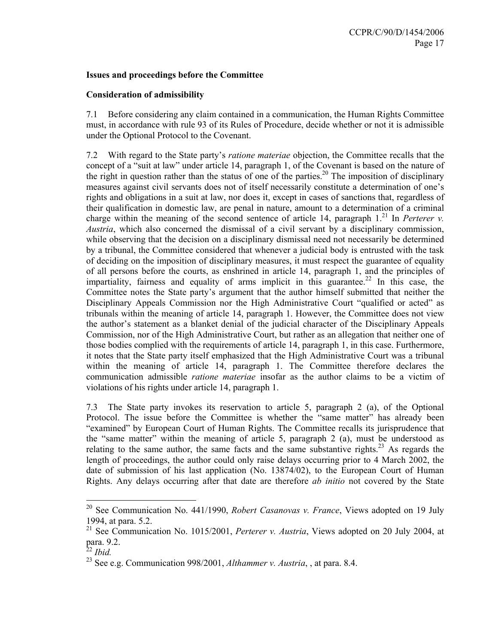## **Issues and proceedings before the Committee**

## **Consideration of admissibility**

7.1 Before considering any claim contained in a communication, the Human Rights Committee must, in accordance with rule 93 of its Rules of Procedure, decide whether or not it is admissible under the Optional Protocol to the Covenant.

7.2 With regard to the State party's *ratione materiae* objection, the Committee recalls that the concept of a "suit at law" under article 14, paragraph 1, of the Covenant is based on the nature of the right in question rather than the status of one of the parties.<sup>20</sup> The imposition of disciplinary measures against civil servants does not of itself necessarily constitute a determination of one's rights and obligations in a suit at law, nor does it, except in cases of sanctions that, regardless of their qualification in domestic law, are penal in nature, amount to a determination of a criminal charge within the meaning of the second sentence of article 14, paragraph  $1<sup>21</sup>$  In *Perterer v. Austria*, which also concerned the dismissal of a civil servant by a disciplinary commission, while observing that the decision on a disciplinary dismissal need not necessarily be determined by a tribunal, the Committee considered that whenever a judicial body is entrusted with the task of deciding on the imposition of disciplinary measures, it must respect the guarantee of equality of all persons before the courts, as enshrined in article 14, paragraph 1, and the principles of impartiality, fairness and equality of arms implicit in this guarantee.<sup>22</sup> In this case, the Committee notes the State party's argument that the author himself submitted that neither the Disciplinary Appeals Commission nor the High Administrative Court "qualified or acted" as tribunals within the meaning of article 14, paragraph 1. However, the Committee does not view the author's statement as a blanket denial of the judicial character of the Disciplinary Appeals Commission, nor of the High Administrative Court, but rather as an allegation that neither one of those bodies complied with the requirements of article 14, paragraph 1, in this case. Furthermore, it notes that the State party itself emphasized that the High Administrative Court was a tribunal within the meaning of article 14, paragraph 1. The Committee therefore declares the communication admissible *ratione materiae* insofar as the author claims to be a victim of violations of his rights under article 14, paragraph 1.

7.3 The State party invokes its reservation to article 5, paragraph 2 (a), of the Optional Protocol. The issue before the Committee is whether the "same matter" has already been "examined" by European Court of Human Rights. The Committee recalls its jurisprudence that the "same matter" within the meaning of article 5, paragraph 2 (a), must be understood as relating to the same author, the same facts and the same substantive rights.<sup>23</sup> As regards the length of proceedings, the author could only raise delays occurring prior to 4 March 2002, the date of submission of his last application (No. 13874/02), to the European Court of Human Rights. Any delays occurring after that date are therefore *ab initio* not covered by the State

 $\overline{a}$ 

<sup>20</sup> See Communication No. 441/1990, *Robert Casanovas v. France*, Views adopted on 19 July 1994, at para. 5.2.

<sup>&</sup>lt;sup>21</sup> See Communication No. 1015/2001, *Perterer v. Austria*, Views adopted on 20 July 2004, at para. 9.2.

<sup>22</sup> *Ibid.* 

<sup>23</sup> See e.g. Communication 998/2001, *Althammer v. Austria*, , at para. 8.4.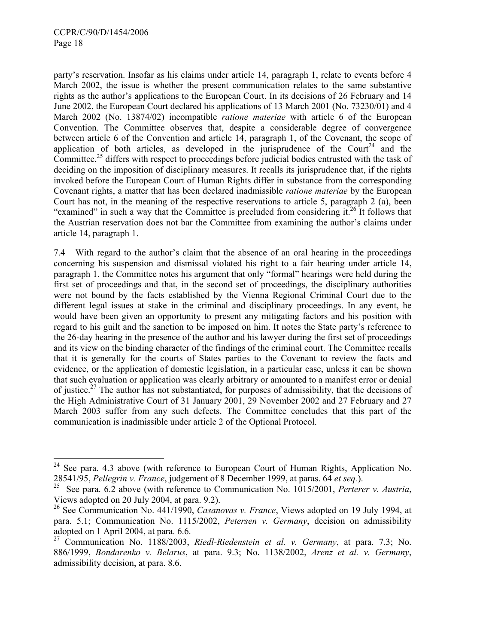$\overline{a}$ 

party's reservation. Insofar as his claims under article 14, paragraph 1, relate to events before 4 March 2002, the issue is whether the present communication relates to the same substantive rights as the author's applications to the European Court. In its decisions of 26 February and 14 June 2002, the European Court declared his applications of 13 March 2001 (No. 73230/01) and 4 March 2002 (No. 13874/02) incompatible *ratione materiae* with article 6 of the European Convention. The Committee observes that, despite a considerable degree of convergence between article 6 of the Convention and article 14, paragraph 1, of the Covenant, the scope of application of both articles, as developed in the jurisprudence of the Court<sup>24</sup> and the Committee,<sup>25</sup> differs with respect to proceedings before judicial bodies entrusted with the task of deciding on the imposition of disciplinary measures. It recalls its jurisprudence that, if the rights invoked before the European Court of Human Rights differ in substance from the corresponding Covenant rights, a matter that has been declared inadmissible *ratione materiae* by the European Court has not, in the meaning of the respective reservations to article 5, paragraph 2 (a), been "examined" in such a way that the Committee is precluded from considering it.<sup>26</sup> It follows that the Austrian reservation does not bar the Committee from examining the author's claims under article 14, paragraph 1.

7.4 With regard to the author's claim that the absence of an oral hearing in the proceedings concerning his suspension and dismissal violated his right to a fair hearing under article 14, paragraph 1, the Committee notes his argument that only "formal" hearings were held during the first set of proceedings and that, in the second set of proceedings, the disciplinary authorities were not bound by the facts established by the Vienna Regional Criminal Court due to the different legal issues at stake in the criminal and disciplinary proceedings. In any event, he would have been given an opportunity to present any mitigating factors and his position with regard to his guilt and the sanction to be imposed on him. It notes the State party's reference to the 26-day hearing in the presence of the author and his lawyer during the first set of proceedings and its view on the binding character of the findings of the criminal court. The Committee recalls that it is generally for the courts of States parties to the Covenant to review the facts and evidence, or the application of domestic legislation, in a particular case, unless it can be shown that such evaluation or application was clearly arbitrary or amounted to a manifest error or denial of justice.<sup>27</sup> The author has not substantiated, for purposes of admissibility, that the decisions of the High Administrative Court of 31 January 2001, 29 November 2002 and 27 February and 27 March 2003 suffer from any such defects. The Committee concludes that this part of the communication is inadmissible under article 2 of the Optional Protocol.

 $24$  See para. 4.3 above (with reference to European Court of Human Rights, Application No. 28541/95, *Pellegrin v. France*, judgement of 8 December 1999, at paras. 64 *et seq.*).

<sup>25</sup> See para. 6.2 above (with reference to Communication No. 1015/2001, *Perterer v. Austria*, Views adopted on 20 July 2004, at para. 9.2).

<sup>26</sup> See Communication No. 441/1990, *Casanovas v. France*, Views adopted on 19 July 1994, at para. 5.1; Communication No. 1115/2002, *Petersen v. Germany*, decision on admissibility adopted on 1 April 2004, at para. 6.6.

<sup>27</sup> Communication No. 1188/2003, *Riedl-Riedenstein et al. v. Germany*, at para. 7.3; No. 886/1999, *Bondarenko v. Belarus*, at para. 9.3; No. 1138/2002, *Arenz et al. v. Germany*, admissibility decision, at para. 8.6.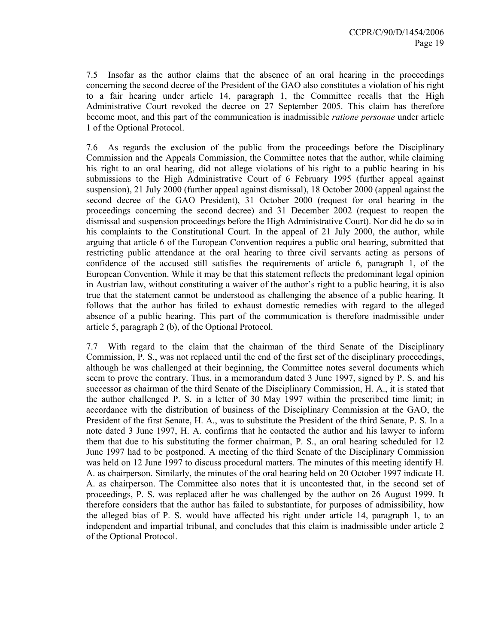7.5 Insofar as the author claims that the absence of an oral hearing in the proceedings concerning the second decree of the President of the GAO also constitutes a violation of his right to a fair hearing under article 14, paragraph 1, the Committee recalls that the High Administrative Court revoked the decree on 27 September 2005. This claim has therefore become moot, and this part of the communication is inadmissible *ratione personae* under article 1 of the Optional Protocol.

7.6 As regards the exclusion of the public from the proceedings before the Disciplinary Commission and the Appeals Commission, the Committee notes that the author, while claiming his right to an oral hearing, did not allege violations of his right to a public hearing in his submissions to the High Administrative Court of 6 February 1995 (further appeal against suspension), 21 July 2000 (further appeal against dismissal), 18 October 2000 (appeal against the second decree of the GAO President), 31 October 2000 (request for oral hearing in the proceedings concerning the second decree) and 31 December 2002 (request to reopen the dismissal and suspension proceedings before the High Administrative Court). Nor did he do so in his complaints to the Constitutional Court. In the appeal of 21 July 2000, the author, while arguing that article 6 of the European Convention requires a public oral hearing, submitted that restricting public attendance at the oral hearing to three civil servants acting as persons of confidence of the accused still satisfies the requirements of article 6, paragraph 1, of the European Convention. While it may be that this statement reflects the predominant legal opinion in Austrian law, without constituting a waiver of the author's right to a public hearing, it is also true that the statement cannot be understood as challenging the absence of a public hearing. It follows that the author has failed to exhaust domestic remedies with regard to the alleged absence of a public hearing. This part of the communication is therefore inadmissible under article 5, paragraph 2 (b), of the Optional Protocol.

7.7 With regard to the claim that the chairman of the third Senate of the Disciplinary Commission, P. S., was not replaced until the end of the first set of the disciplinary proceedings, although he was challenged at their beginning, the Committee notes several documents which seem to prove the contrary. Thus, in a memorandum dated 3 June 1997, signed by P. S. and his successor as chairman of the third Senate of the Disciplinary Commission, H. A., it is stated that the author challenged P. S. in a letter of 30 May 1997 within the prescribed time limit; in accordance with the distribution of business of the Disciplinary Commission at the GAO, the President of the first Senate, H. A., was to substitute the President of the third Senate, P. S. In a note dated 3 June 1997, H. A. confirms that he contacted the author and his lawyer to inform them that due to his substituting the former chairman, P. S., an oral hearing scheduled for 12 June 1997 had to be postponed. A meeting of the third Senate of the Disciplinary Commission was held on 12 June 1997 to discuss procedural matters. The minutes of this meeting identify H. A. as chairperson. Similarly, the minutes of the oral hearing held on 20 October 1997 indicate H. A. as chairperson. The Committee also notes that it is uncontested that, in the second set of proceedings, P. S. was replaced after he was challenged by the author on 26 August 1999. It therefore considers that the author has failed to substantiate, for purposes of admissibility, how the alleged bias of P. S. would have affected his right under article 14, paragraph 1, to an independent and impartial tribunal, and concludes that this claim is inadmissible under article 2 of the Optional Protocol.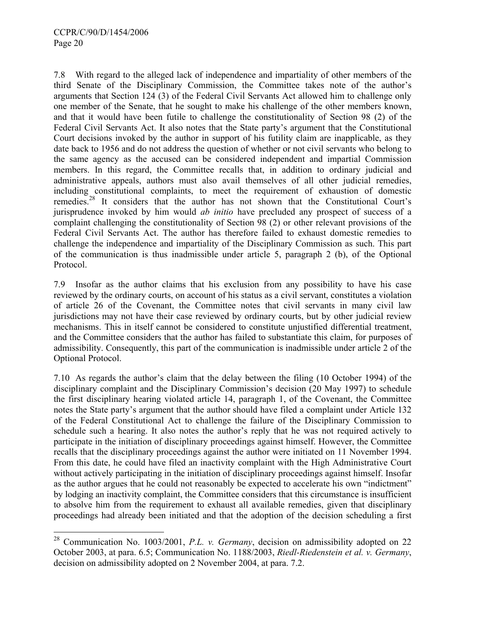l

7.8 With regard to the alleged lack of independence and impartiality of other members of the third Senate of the Disciplinary Commission, the Committee takes note of the author's arguments that Section 124 (3) of the Federal Civil Servants Act allowed him to challenge only one member of the Senate, that he sought to make his challenge of the other members known, and that it would have been futile to challenge the constitutionality of Section 98 (2) of the Federal Civil Servants Act. It also notes that the State party's argument that the Constitutional Court decisions invoked by the author in support of his futility claim are inapplicable, as they date back to 1956 and do not address the question of whether or not civil servants who belong to the same agency as the accused can be considered independent and impartial Commission members. In this regard, the Committee recalls that, in addition to ordinary judicial and administrative appeals, authors must also avail themselves of all other judicial remedies, including constitutional complaints, to meet the requirement of exhaustion of domestic remedies.28 It considers that the author has not shown that the Constitutional Court's jurisprudence invoked by him would *ab initio* have precluded any prospect of success of a complaint challenging the constitutionality of Section 98 (2) or other relevant provisions of the Federal Civil Servants Act. The author has therefore failed to exhaust domestic remedies to challenge the independence and impartiality of the Disciplinary Commission as such. This part of the communication is thus inadmissible under article 5, paragraph 2 (b), of the Optional Protocol.

7.9 Insofar as the author claims that his exclusion from any possibility to have his case reviewed by the ordinary courts, on account of his status as a civil servant, constitutes a violation of article 26 of the Covenant, the Committee notes that civil servants in many civil law jurisdictions may not have their case reviewed by ordinary courts, but by other judicial review mechanisms. This in itself cannot be considered to constitute unjustified differential treatment, and the Committee considers that the author has failed to substantiate this claim, for purposes of admissibility. Consequently, this part of the communication is inadmissible under article 2 of the Optional Protocol.

7.10 As regards the author's claim that the delay between the filing (10 October 1994) of the disciplinary complaint and the Disciplinary Commission's decision (20 May 1997) to schedule the first disciplinary hearing violated article 14, paragraph 1, of the Covenant, the Committee notes the State party's argument that the author should have filed a complaint under Article 132 of the Federal Constitutional Act to challenge the failure of the Disciplinary Commission to schedule such a hearing. It also notes the author's reply that he was not required actively to participate in the initiation of disciplinary proceedings against himself. However, the Committee recalls that the disciplinary proceedings against the author were initiated on 11 November 1994. From this date, he could have filed an inactivity complaint with the High Administrative Court without actively participating in the initiation of disciplinary proceedings against himself. Insofar as the author argues that he could not reasonably be expected to accelerate his own "indictment" by lodging an inactivity complaint, the Committee considers that this circumstance is insufficient to absolve him from the requirement to exhaust all available remedies, given that disciplinary proceedings had already been initiated and that the adoption of the decision scheduling a first

<sup>28</sup> Communication No. 1003/2001, *P.L. v. Germany*, decision on admissibility adopted on 22 October 2003, at para. 6.5; Communication No. 1188/2003, *Riedl-Riedenstein et al. v. Germany*, decision on admissibility adopted on 2 November 2004, at para. 7.2.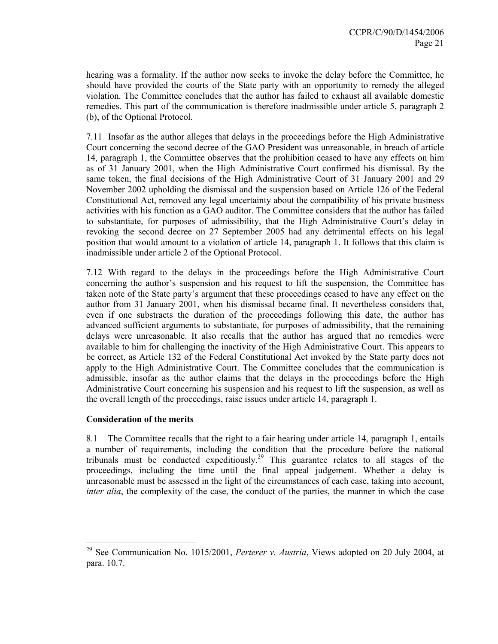hearing was a formality. If the author now seeks to invoke the delay before the Committee, he should have provided the courts of the State party with an opportunity to remedy the alleged violation. The Committee concludes that the author has failed to exhaust all available domestic remedies. This part of the communication is therefore inadmissible under article 5, paragraph 2 (b), of the Optional Protocol.

7.11 Insofar as the author alleges that delays in the proceedings before the High Administrative Court concerning the second decree of the GAO President was unreasonable, in breach of article 14, paragraph 1, the Committee observes that the prohibition ceased to have any effects on him as of 31 January 2001, when the High Administrative Court confirmed his dismissal. By the same token, the final decisions of the High Administrative Court of 31 January 2001 and 29 November 2002 upholding the dismissal and the suspension based on Article 126 of the Federal Constitutional Act, removed any legal uncertainty about the compatibility of his private business activities with his function as a GAO auditor. The Committee considers that the author has failed to substantiate, for purposes of admissibility, that the High Administrative Court's delay in revoking the second decree on 27 September 2005 had any detrimental effects on his legal position that would amount to a violation of article 14, paragraph 1. It follows that this claim is inadmissible under article 2 of the Optional Protocol.

7.12 With regard to the delays in the proceedings before the High Administrative Court concerning the author's suspension and his request to lift the suspension, the Committee has taken note of the State party's argument that these proceedings ceased to have any effect on the author from 31 January 2001, when his dismissal became final. It nevertheless considers that, even if one substracts the duration of the proceedings following this date, the author has advanced sufficient arguments to substantiate, for purposes of admissibility, that the remaining delays were unreasonable. It also recalls that the author has argued that no remedies were available to him for challenging the inactivity of the High Administrative Court. This appears to be correct, as Article 132 of the Federal Constitutional Act invoked by the State party does not apply to the High Administrative Court. The Committee concludes that the communication is admissible, insofar as the author claims that the delays in the proceedings before the High Administrative Court concerning his suspension and his request to lift the suspension, as well as the overall length of the proceedings, raise issues under article 14, paragraph 1.

## **Consideration of the merits**

 $\overline{a}$ 

8.1 The Committee recalls that the right to a fair hearing under article 14, paragraph 1, entails a number of requirements, including the condition that the procedure before the national tribunals must be conducted expeditiously.29 This guarantee relates to all stages of the proceedings, including the time until the final appeal judgement. Whether a delay is unreasonable must be assessed in the light of the circumstances of each case, taking into account, *inter alia*, the complexity of the case, the conduct of the parties, the manner in which the case

<sup>29</sup> See Communication No. 1015/2001, *Perterer v. Austria*, Views adopted on 20 July 2004, at para. 10.7.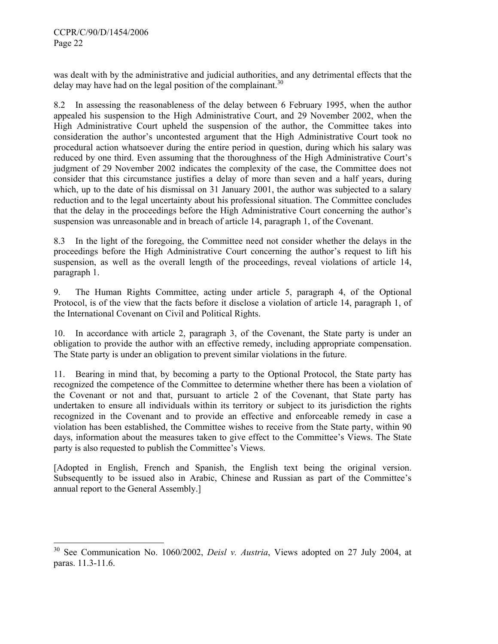$\overline{a}$ 

was dealt with by the administrative and judicial authorities, and any detrimental effects that the delay may have had on the legal position of the complainant.<sup>30</sup>

8.2 In assessing the reasonableness of the delay between 6 February 1995, when the author appealed his suspension to the High Administrative Court, and 29 November 2002, when the High Administrative Court upheld the suspension of the author, the Committee takes into consideration the author's uncontested argument that the High Administrative Court took no procedural action whatsoever during the entire period in question, during which his salary was reduced by one third. Even assuming that the thoroughness of the High Administrative Court's judgment of 29 November 2002 indicates the complexity of the case, the Committee does not consider that this circumstance justifies a delay of more than seven and a half years, during which, up to the date of his dismissal on 31 January 2001, the author was subjected to a salary reduction and to the legal uncertainty about his professional situation. The Committee concludes that the delay in the proceedings before the High Administrative Court concerning the author's suspension was unreasonable and in breach of article 14, paragraph 1, of the Covenant.

8.3 In the light of the foregoing, the Committee need not consider whether the delays in the proceedings before the High Administrative Court concerning the author's request to lift his suspension, as well as the overall length of the proceedings, reveal violations of article 14, paragraph 1.

9. The Human Rights Committee, acting under article 5, paragraph 4, of the Optional Protocol, is of the view that the facts before it disclose a violation of article 14, paragraph 1, of the International Covenant on Civil and Political Rights.

10. In accordance with article 2, paragraph 3, of the Covenant, the State party is under an obligation to provide the author with an effective remedy, including appropriate compensation. The State party is under an obligation to prevent similar violations in the future.

11. Bearing in mind that, by becoming a party to the Optional Protocol, the State party has recognized the competence of the Committee to determine whether there has been a violation of the Covenant or not and that, pursuant to article 2 of the Covenant, that State party has undertaken to ensure all individuals within its territory or subject to its jurisdiction the rights recognized in the Covenant and to provide an effective and enforceable remedy in case a violation has been established, the Committee wishes to receive from the State party, within 90 days, information about the measures taken to give effect to the Committee's Views. The State party is also requested to publish the Committee's Views.

[Adopted in English, French and Spanish, the English text being the original version. Subsequently to be issued also in Arabic, Chinese and Russian as part of the Committee's annual report to the General Assembly.]

<sup>30</sup> See Communication No. 1060/2002, *Deisl v. Austria*, Views adopted on 27 July 2004, at paras. 11.3-11.6.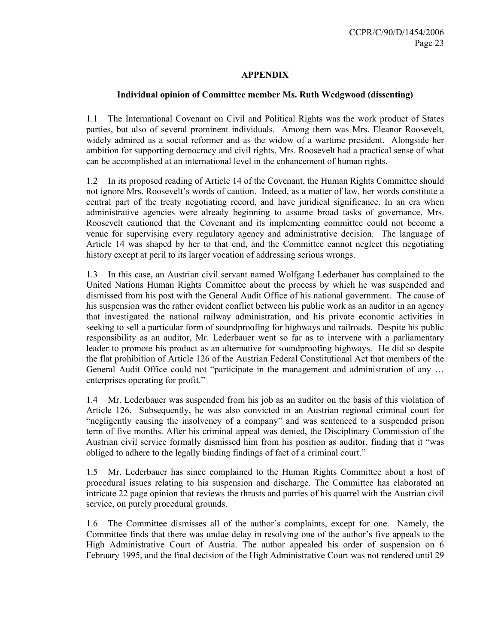## **APPENDIX**

## **Individual opinion of Committee member Ms. Ruth Wedgwood (dissenting)**

1.1 The International Covenant on Civil and Political Rights was the work product of States parties, but also of several prominent individuals. Among them was Mrs. Eleanor Roosevelt, widely admired as a social reformer and as the widow of a wartime president. Alongside her ambition for supporting democracy and civil rights, Mrs. Roosevelt had a practical sense of what can be accomplished at an international level in the enhancement of human rights.

1.2 In its proposed reading of Article 14 of the Covenant, the Human Rights Committee should not ignore Mrs. Roosevelt's words of caution. Indeed, as a matter of law, her words constitute a central part of the treaty negotiating record, and have juridical significance. In an era when administrative agencies were already beginning to assume broad tasks of governance, Mrs. Roosevelt cautioned that the Covenant and its implementing committee could not become a venue for supervising every regulatory agency and administrative decision. The language of Article 14 was shaped by her to that end, and the Committee cannot neglect this negotiating history except at peril to its larger vocation of addressing serious wrongs.

1.3 In this case, an Austrian civil servant named Wolfgang Lederbauer has complained to the United Nations Human Rights Committee about the process by which he was suspended and dismissed from his post with the General Audit Office of his national government. The cause of his suspension was the rather evident conflict between his public work as an auditor in an agency that investigated the national railway administration, and his private economic activities in seeking to sell a particular form of soundproofing for highways and railroads. Despite his public responsibility as an auditor, Mr. Lederbauer went so far as to intervene with a parliamentary leader to promote his product as an alternative for soundproofing highways. He did so despite the flat prohibition of Article 126 of the Austrian Federal Constitutional Act that members of the General Audit Office could not "participate in the management and administration of any … enterprises operating for profit."

1.4 Mr. Lederbauer was suspended from his job as an auditor on the basis of this violation of Article 126. Subsequently, he was also convicted in an Austrian regional criminal court for "negligently causing the insolvency of a company" and was sentenced to a suspended prison term of five months. After his criminal appeal was denied, the Disciplinary Commission of the Austrian civil service formally dismissed him from his position as auditor, finding that it "was obliged to adhere to the legally binding findings of fact of a criminal court."

1.5 Mr. Lederbauer has since complained to the Human Rights Committee about a host of procedural issues relating to his suspension and discharge. The Committee has elaborated an intricate 22 page opinion that reviews the thrusts and parries of his quarrel with the Austrian civil service, on purely procedural grounds.

1.6 The Committee dismisses all of the author's complaints, except for one. Namely, the Committee finds that there was undue delay in resolving one of the author's five appeals to the High Administrative Court of Austria. The author appealed his order of suspension on 6 February 1995, and the final decision of the High Administrative Court was not rendered until 29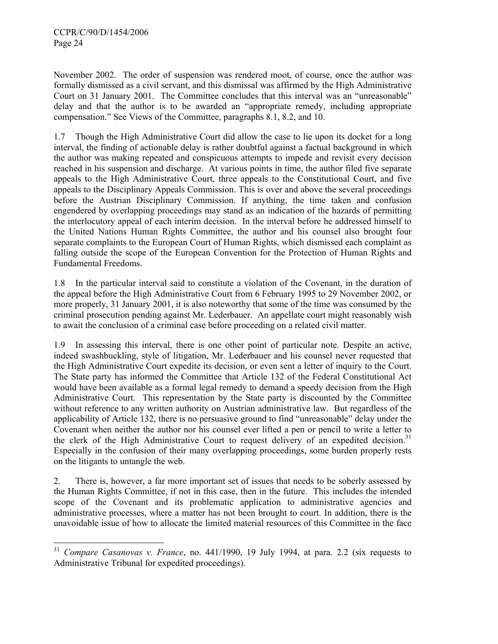$\overline{a}$ 

November 2002. The order of suspension was rendered moot, of course, once the author was formally dismissed as a civil servant, and this dismissal was affirmed by the High Administrative Court on 31 January 2001. The Committee concludes that this interval was an "unreasonable" delay and that the author is to be awarded an "appropriate remedy, including appropriate compensation." See Views of the Committee, paragraphs 8.1, 8.2, and 10.

1.7 Though the High Administrative Court did allow the case to lie upon its docket for a long interval, the finding of actionable delay is rather doubtful against a factual background in which the author was making repeated and conspicuous attempts to impede and revisit every decision reached in his suspension and discharge. At various points in time, the author filed five separate appeals to the High Administrative Court, three appeals to the Constitutional Court, and five appeals to the Disciplinary Appeals Commission. This is over and above the several proceedings before the Austrian Disciplinary Commission. If anything, the time taken and confusion engendered by overlapping proceedings may stand as an indication of the hazards of permitting the interlocutory appeal of each interim decision. In the interval before he addressed himself to the United Nations Human Rights Committee, the author and his counsel also brought four separate complaints to the European Court of Human Rights, which dismissed each complaint as falling outside the scope of the European Convention for the Protection of Human Rights and Fundamental Freedoms.

1.8 In the particular interval said to constitute a violation of the Covenant, in the duration of the appeal before the High Administrative Court from 6 February 1995 to 29 November 2002, or more properly, 31 January 2001, it is also noteworthy that some of the time was consumed by the criminal prosecution pending against Mr. Lederbauer. An appellate court might reasonably wish to await the conclusion of a criminal case before proceeding on a related civil matter.

1.9 In assessing this interval, there is one other point of particular note. Despite an active, indeed swashbuckling, style of litigation, Mr. Lederbauer and his counsel never requested that the High Administrative Court expedite its decision, or even sent a letter of inquiry to the Court. The State party has informed the Committee that Article 132 of the Federal Constitutional Act would have been available as a formal legal remedy to demand a speedy decision from the High Administrative Court. This representation by the State party is discounted by the Committee without reference to any written authority on Austrian administrative law. But regardless of the applicability of Article 132, there is no persuasive ground to find "unreasonable" delay under the Covenant when neither the author nor his counsel ever lifted a pen or pencil to write a letter to the clerk of the High Administrative Court to request delivery of an expedited decision.<sup>31</sup> Especially in the confusion of their many overlapping proceedings, some burden properly rests on the litigants to untangle the web.

2. There is, however, a far more important set of issues that needs to be soberly assessed by the Human Rights Committee, if not in this case, then in the future. This includes the intended scope of the Covenant and its problematic application to administrative agencies and administrative processes, where a matter has not been brought to court. In addition, there is the unavoidable issue of how to allocate the limited material resources of this Committee in the face

<sup>31</sup> *Compare Casanovas v. France*, no. 441/1990, 19 July 1994, at para. 2.2 (six requests to Administrative Tribunal for expedited proceedings).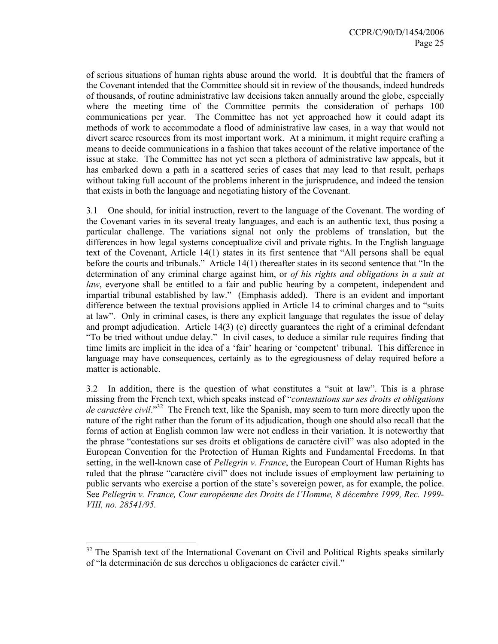of serious situations of human rights abuse around the world. It is doubtful that the framers of the Covenant intended that the Committee should sit in review of the thousands, indeed hundreds of thousands, of routine administrative law decisions taken annually around the globe, especially where the meeting time of the Committee permits the consideration of perhaps 100 communications per year. The Committee has not yet approached how it could adapt its methods of work to accommodate a flood of administrative law cases, in a way that would not divert scarce resources from its most important work. At a minimum, it might require crafting a means to decide communications in a fashion that takes account of the relative importance of the issue at stake. The Committee has not yet seen a plethora of administrative law appeals, but it has embarked down a path in a scattered series of cases that may lead to that result, perhaps without taking full account of the problems inherent in the jurisprudence, and indeed the tension that exists in both the language and negotiating history of the Covenant.

3.1 One should, for initial instruction, revert to the language of the Covenant. The wording of the Covenant varies in its several treaty languages, and each is an authentic text, thus posing a particular challenge. The variations signal not only the problems of translation, but the differences in how legal systems conceptualize civil and private rights. In the English language text of the Covenant, Article 14(1) states in its first sentence that "All persons shall be equal before the courts and tribunals." Article 14(1) thereafter states in its second sentence that "In the determination of any criminal charge against him, or *of his rights and obligations in a suit at law*, everyone shall be entitled to a fair and public hearing by a competent, independent and impartial tribunal established by law." (Emphasis added). There is an evident and important difference between the textual provisions applied in Article 14 to criminal charges and to "suits at law". Only in criminal cases, is there any explicit language that regulates the issue of delay and prompt adjudication. Article 14(3) (c) directly guarantees the right of a criminal defendant "To be tried without undue delay." In civil cases, to deduce a similar rule requires finding that time limits are implicit in the idea of a 'fair' hearing or 'competent' tribunal. This difference in language may have consequences, certainly as to the egregiousness of delay required before a matter is actionable.

3.2 In addition, there is the question of what constitutes a "suit at law". This is a phrase missing from the French text, which speaks instead of "*contestations sur ses droits et obligations de caractère civil*."32 The French text, like the Spanish, may seem to turn more directly upon the nature of the right rather than the forum of its adjudication, though one should also recall that the forms of action at English common law were not endless in their variation. It is noteworthy that the phrase "contestations sur ses droits et obligations de caractère civil" was also adopted in the European Convention for the Protection of Human Rights and Fundamental Freedoms. In that setting, in the well-known case of *Pellegrin v. France*, the European Court of Human Rights has ruled that the phrase "caractère civil" does not include issues of employment law pertaining to public servants who exercise a portion of the state's sovereign power, as for example, the police. See *Pellegrin v. France, Cour européenne des Droits de l'Homme, 8 décembre 1999, Rec. 1999- VIII, no. 28541/95.* 

 $\overline{a}$ 

 $32$  The Spanish text of the International Covenant on Civil and Political Rights speaks similarly of "la determinación de sus derechos u obligaciones de carácter civil."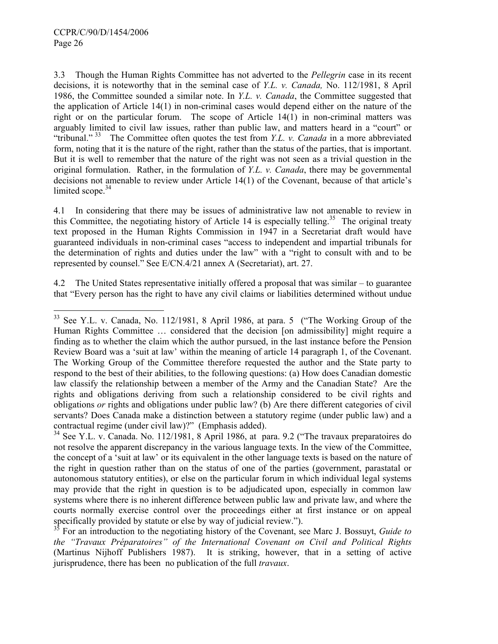3.3 Though the Human Rights Committee has not adverted to the *Pellegrin* case in its recent decisions, it is noteworthy that in the seminal case of *Y.L. v. Canada,* No. 112/1981, 8 April 1986, the Committee sounded a similar note. In *Y.L. v. Canada*, the Committee suggested that the application of Article 14(1) in non-criminal cases would depend either on the nature of the right or on the particular forum. The scope of Article 14(1) in non-criminal matters was arguably limited to civil law issues, rather than public law, and matters heard in a "court" or "tribunal."<sup>33</sup> The Committee often quotes the test from *Y.L. v. Canada* in a more abbreviated form, noting that it is the nature of the right, rather than the status of the parties, that is important. But it is well to remember that the nature of the right was not seen as a trivial question in the original formulation. Rather, in the formulation of *Y.L. v. Canada*, there may be governmental decisions not amenable to review under Article 14(1) of the Covenant, because of that article's limited scope. $34$ 

4.1 In considering that there may be issues of administrative law not amenable to review in this Committee, the negotiating history of Article 14 is especially telling.<sup>35</sup> The original treaty text proposed in the Human Rights Commission in 1947 in a Secretariat draft would have guaranteed individuals in non-criminal cases "access to independent and impartial tribunals for the determination of rights and duties under the law" with a "right to consult with and to be represented by counsel." See E/CN.4/21 annex A (Secretariat), art. 27.

4.2 The United States representative initially offered a proposal that was similar – to guarantee that "Every person has the right to have any civil claims or liabilities determined without undue

l  $33$  See Y.L. v. Canada, No. 112/1981, 8 April 1986, at para. 5 ("The Working Group of the Human Rights Committee … considered that the decision [on admissibility] might require a finding as to whether the claim which the author pursued, in the last instance before the Pension Review Board was a 'suit at law' within the meaning of article 14 paragraph 1, of the Covenant. The Working Group of the Committee therefore requested the author and the State party to respond to the best of their abilities, to the following questions: (a) How does Canadian domestic law classify the relationship between a member of the Army and the Canadian State? Are the rights and obligations deriving from such a relationship considered to be civil rights and obligations *or* rights and obligations under public law? (b) Are there different categories of civil servants? Does Canada make a distinction between a statutory regime (under public law) and a contractual regime (under civil law)?" (Emphasis added).

<sup>&</sup>lt;sup>34</sup> See Y.L. v. Canada. No. 112/1981, 8 April 1986, at para. 9.2 ("The travaux preparatoires do not resolve the apparent discrepancy in the various language texts. In the view of the Committee, the concept of a 'suit at law' or its equivalent in the other language texts is based on the nature of the right in question rather than on the status of one of the parties (government, parastatal or autonomous statutory entities), or else on the particular forum in which individual legal systems may provide that the right in question is to be adjudicated upon, especially in common law systems where there is no inherent difference between public law and private law, and where the courts normally exercise control over the proceedings either at first instance or on appeal specifically provided by statute or else by way of judicial review.").

<sup>35</sup> For an introduction to the negotiating history of the Covenant, see Marc J. Bossuyt, *Guide to the "Travaux Préparatoires" of the International Covenant on Civil and Political Rights*  (Martinus Nijhoff Publishers 1987). It is striking, however, that in a setting of active jurisprudence, there has been no publication of the full *travaux*.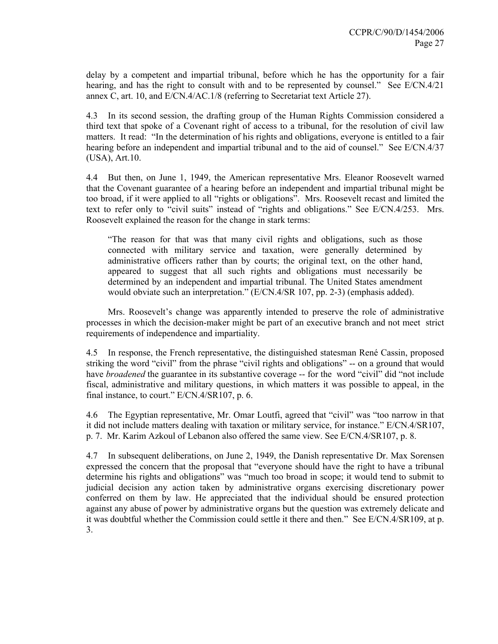delay by a competent and impartial tribunal, before which he has the opportunity for a fair hearing, and has the right to consult with and to be represented by counsel." See E/CN.4/21 annex C, art. 10, and E/CN.4/AC.1/8 (referring to Secretariat text Article 27).

4.3 In its second session, the drafting group of the Human Rights Commission considered a third text that spoke of a Covenant right of access to a tribunal, for the resolution of civil law matters. It read: "In the determination of his rights and obligations, everyone is entitled to a fair hearing before an independent and impartial tribunal and to the aid of counsel." See E/CN.4/37 (USA), Art.10.

4.4 But then, on June 1, 1949, the American representative Mrs. Eleanor Roosevelt warned that the Covenant guarantee of a hearing before an independent and impartial tribunal might be too broad, if it were applied to all "rights or obligations". Mrs. Roosevelt recast and limited the text to refer only to "civil suits" instead of "rights and obligations." See E/CN.4/253. Mrs. Roosevelt explained the reason for the change in stark terms:

"The reason for that was that many civil rights and obligations, such as those connected with military service and taxation, were generally determined by administrative officers rather than by courts; the original text, on the other hand, appeared to suggest that all such rights and obligations must necessarily be determined by an independent and impartial tribunal. The United States amendment would obviate such an interpretation." (E/CN.4/SR 107, pp. 2-3) (emphasis added).

 Mrs. Roosevelt's change was apparently intended to preserve the role of administrative processes in which the decision-maker might be part of an executive branch and not meet strict requirements of independence and impartiality.

4.5 In response, the French representative, the distinguished statesman René Cassin, proposed striking the word "civil" from the phrase "civil rights and obligations" -- on a ground that would have *broadened* the guarantee in its substantive coverage -- for the word "civil" did "not include fiscal, administrative and military questions, in which matters it was possible to appeal, in the final instance, to court." E/CN.4/SR107, p. 6.

4.6 The Egyptian representative, Mr. Omar Loutfi, agreed that "civil" was "too narrow in that it did not include matters dealing with taxation or military service, for instance." E/CN.4/SR107, p. 7. Mr. Karim Azkoul of Lebanon also offered the same view. See E/CN.4/SR107, p. 8.

4.7 In subsequent deliberations, on June 2, 1949, the Danish representative Dr. Max Sorensen expressed the concern that the proposal that "everyone should have the right to have a tribunal determine his rights and obligations" was "much too broad in scope; it would tend to submit to judicial decision any action taken by administrative organs exercising discretionary power conferred on them by law. He appreciated that the individual should be ensured protection against any abuse of power by administrative organs but the question was extremely delicate and it was doubtful whether the Commission could settle it there and then." See E/CN.4/SR109, at p. 3.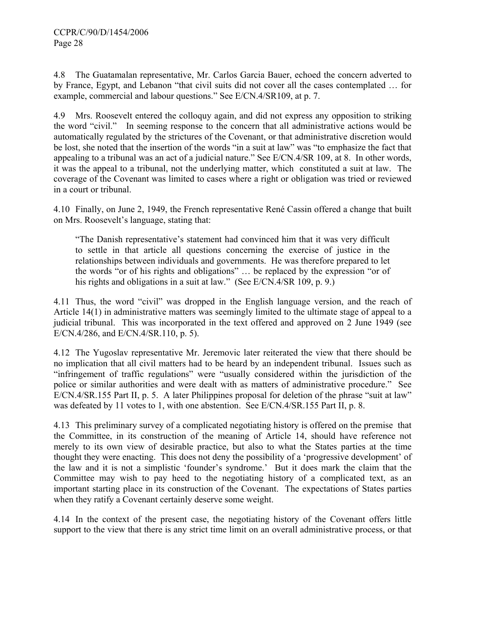4.8 The Guatamalan representative, Mr. Carlos Garcia Bauer, echoed the concern adverted to by France, Egypt, and Lebanon "that civil suits did not cover all the cases contemplated … for example, commercial and labour questions." See E/CN.4/SR109, at p. 7.

4.9 Mrs. Roosevelt entered the colloquy again, and did not express any opposition to striking the word "civil." In seeming response to the concern that all administrative actions would be automatically regulated by the strictures of the Covenant, or that administrative discretion would be lost, she noted that the insertion of the words "in a suit at law" was "to emphasize the fact that appealing to a tribunal was an act of a judicial nature." See E/CN.4/SR 109, at 8. In other words, it was the appeal to a tribunal, not the underlying matter, which constituted a suit at law. The coverage of the Covenant was limited to cases where a right or obligation was tried or reviewed in a court or tribunal.

4.10 Finally, on June 2, 1949, the French representative René Cassin offered a change that built on Mrs. Roosevelt's language, stating that:

"The Danish representative's statement had convinced him that it was very difficult to settle in that article all questions concerning the exercise of justice in the relationships between individuals and governments. He was therefore prepared to let the words "or of his rights and obligations" … be replaced by the expression "or of his rights and obligations in a suit at law." (See E/CN.4/SR 109, p. 9.)

4.11 Thus, the word "civil" was dropped in the English language version, and the reach of Article 14(1) in administrative matters was seemingly limited to the ultimate stage of appeal to a judicial tribunal. This was incorporated in the text offered and approved on 2 June 1949 (see E/CN.4/286, and E/CN.4/SR.110, p. 5).

4.12 The Yugoslav representative Mr. Jeremovic later reiterated the view that there should be no implication that all civil matters had to be heard by an independent tribunal. Issues such as "infringement of traffic regulations" were "usually considered within the jurisdiction of the police or similar authorities and were dealt with as matters of administrative procedure." See E/CN.4/SR.155 Part II, p. 5. A later Philippines proposal for deletion of the phrase "suit at law" was defeated by 11 votes to 1, with one abstention. See E/CN.4/SR.155 Part II, p. 8.

4.13 This preliminary survey of a complicated negotiating history is offered on the premise that the Committee, in its construction of the meaning of Article 14, should have reference not merely to its own view of desirable practice, but also to what the States parties at the time thought they were enacting. This does not deny the possibility of a 'progressive development' of the law and it is not a simplistic 'founder's syndrome.' But it does mark the claim that the Committee may wish to pay heed to the negotiating history of a complicated text, as an important starting place in its construction of the Covenant. The expectations of States parties when they ratify a Covenant certainly deserve some weight.

4.14 In the context of the present case, the negotiating history of the Covenant offers little support to the view that there is any strict time limit on an overall administrative process, or that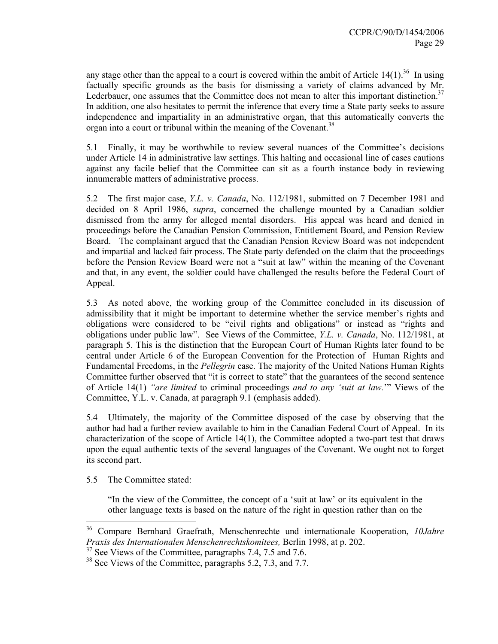any stage other than the appeal to a court is covered within the ambit of Article  $14(1)$ .<sup>36</sup> In using factually specific grounds as the basis for dismissing a variety of claims advanced by Mr. Lederbauer, one assumes that the Committee does not mean to alter this important distinction.<sup>37</sup> In addition, one also hesitates to permit the inference that every time a State party seeks to assure independence and impartiality in an administrative organ, that this automatically converts the organ into a court or tribunal within the meaning of the Covenant.<sup>38</sup>

5.1 Finally, it may be worthwhile to review several nuances of the Committee's decisions under Article 14 in administrative law settings. This halting and occasional line of cases cautions against any facile belief that the Committee can sit as a fourth instance body in reviewing innumerable matters of administrative process.

5.2 The first major case, *Y.L. v. Canada*, No. 112/1981, submitted on 7 December 1981 and decided on 8 April 1986, *supra*, concerned the challenge mounted by a Canadian soldier dismissed from the army for alleged mental disorders. His appeal was heard and denied in proceedings before the Canadian Pension Commission, Entitlement Board, and Pension Review Board. The complainant argued that the Canadian Pension Review Board was not independent and impartial and lacked fair process. The State party defended on the claim that the proceedings before the Pension Review Board were not a "suit at law" within the meaning of the Covenant and that, in any event, the soldier could have challenged the results before the Federal Court of Appeal.

5.3 As noted above, the working group of the Committee concluded in its discussion of admissibility that it might be important to determine whether the service member's rights and obligations were considered to be "civil rights and obligations" or instead as "rights and obligations under public law". See Views of the Committee, *Y.L. v. Canada*, No. 112/1981, at paragraph 5. This is the distinction that the European Court of Human Rights later found to be central under Article 6 of the European Convention for the Protection of Human Rights and Fundamental Freedoms, in the *Pellegrin* case. The majority of the United Nations Human Rights Committee further observed that "it is correct to state" that the guarantees of the second sentence of Article 14(1) *"are limited* to criminal proceedings *and to any 'suit at law.*'" Views of the Committee, Y.L. v. Canada, at paragraph 9.1 (emphasis added).

5.4 Ultimately, the majority of the Committee disposed of the case by observing that the author had had a further review available to him in the Canadian Federal Court of Appeal. In its characterization of the scope of Article 14(1), the Committee adopted a two-part test that draws upon the equal authentic texts of the several languages of the Covenant. We ought not to forget its second part.

5.5 The Committee stated:

 $\overline{a}$ 

"In the view of the Committee, the concept of a 'suit at law' or its equivalent in the other language texts is based on the nature of the right in question rather than on the

<sup>36</sup> Compare Bernhard Graefrath, Menschenrechte und internationale Kooperation, *10Jahre Praxis des Internationalen Menschenrechtskomitees,* Berlin 1998, at p. 202.

<sup>&</sup>lt;sup>37</sup> See Views of the Committee, paragraphs 7.4, 7.5 and 7.6.

<sup>&</sup>lt;sup>38</sup> See Views of the Committee, paragraphs 5.2, 7.3, and 7.7.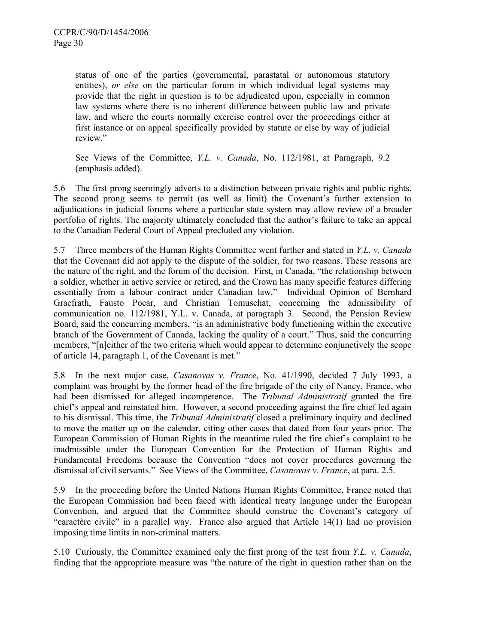status of one of the parties (governmental, parastatal or autonomous statutory entities), *or else* on the particular forum in which individual legal systems may provide that the right in question is to be adjudicated upon, especially in common law systems where there is no inherent difference between public law and private law, and where the courts normally exercise control over the proceedings either at first instance or on appeal specifically provided by statute or else by way of judicial review."

See Views of the Committee, *Y.L. v. Canada*, No. 112/1981, at Paragraph, 9.2 (emphasis added).

5.6 The first prong seemingly adverts to a distinction between private rights and public rights. The second prong seems to permit (as well as limit) the Covenant's further extension to adjudications in judicial forums where a particular state system may allow review of a broader portfolio of rights. The majority ultimately concluded that the author's failure to take an appeal to the Canadian Federal Court of Appeal precluded any violation.

5.7 Three members of the Human Rights Committee went further and stated in *Y.L. v. Canada*  that the Covenant did not apply to the dispute of the soldier, for two reasons. These reasons are the nature of the right, and the forum of the decision. First, in Canada, "the relationship between a soldier, whether in active service or retired, and the Crown has many specific features differing essentially from a labour contract under Canadian law." Individual Opinion of Bernhard Graefrath, Fausto Pocar, and Christian Tomuschat, concerning the admissibility of communication no. 112/1981, Y.L. v. Canada, at paragraph 3. Second, the Pension Review Board, said the concurring members, "is an administrative body functioning within the executive branch of the Government of Canada, lacking the quality of a court." Thus, said the concurring members, "[n]either of the two criteria which would appear to determine conjunctively the scope of article 14, paragraph 1, of the Covenant is met."

5.8 In the next major case, *Casanovas v. France*, No. 41/1990, decided 7 July 1993, a complaint was brought by the former head of the fire brigade of the city of Nancy, France, who had been dismissed for alleged incompetence. The *Tribunal Administratif* granted the fire chief's appeal and reinstated him. However, a second proceeding against the fire chief led again to his dismissal. This time, the *Tribunal Administratif* closed a preliminary inquiry and declined to move the matter up on the calendar, citing other cases that dated from four years prior. The European Commission of Human Rights in the meantime ruled the fire chief's complaint to be inadmissible under the European Convention for the Protection of Human Rights and Fundamental Freedoms because the Convention "does not cover procedures governing the dismissal of civil servants." See Views of the Committee, *Casanovas v. France*, at para. 2.5.

5.9 In the proceeding before the United Nations Human Rights Committee, France noted that the European Commission had been faced with identical treaty language under the European Convention, and argued that the Committee should construe the Covenant's category of "caractère civile" in a parallel way. France also argued that Article 14(1) had no provision imposing time limits in non-criminal matters.

5.10 Curiously, the Committee examined only the first prong of the test from *Y.L. v. Canada*, finding that the appropriate measure was "the nature of the right in question rather than on the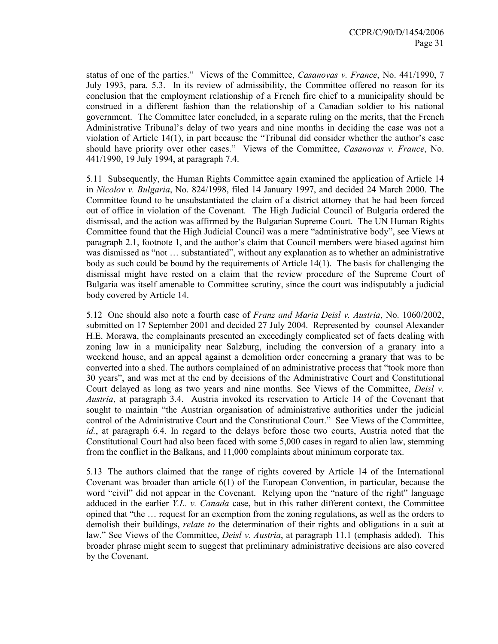status of one of the parties." Views of the Committee, *Casanovas v. France*, No. 441/1990, 7 July 1993, para. 5.3. In its review of admissibility, the Committee offered no reason for its conclusion that the employment relationship of a French fire chief to a municipality should be construed in a different fashion than the relationship of a Canadian soldier to his national government. The Committee later concluded, in a separate ruling on the merits, that the French Administrative Tribunal's delay of two years and nine months in deciding the case was not a violation of Article 14(1), in part because the "Tribunal did consider whether the author's case should have priority over other cases." Views of the Committee, *Casanovas v. France*, No. 441/1990, 19 July 1994, at paragraph 7.4.

5.11 Subsequently, the Human Rights Committee again examined the application of Article 14 in *Nicolov v. Bulgaria*, No. 824/1998, filed 14 January 1997, and decided 24 March 2000. The Committee found to be unsubstantiated the claim of a district attorney that he had been forced out of office in violation of the Covenant. The High Judicial Council of Bulgaria ordered the dismissal, and the action was affirmed by the Bulgarian Supreme Court. The UN Human Rights Committee found that the High Judicial Council was a mere "administrative body", see Views at paragraph 2.1, footnote 1, and the author's claim that Council members were biased against him was dismissed as "not … substantiated", without any explanation as to whether an administrative body as such could be bound by the requirements of Article 14(1). The basis for challenging the dismissal might have rested on a claim that the review procedure of the Supreme Court of Bulgaria was itself amenable to Committee scrutiny, since the court was indisputably a judicial body covered by Article 14.

5.12 One should also note a fourth case of *Franz and Maria Deisl v. Austria*, No. 1060/2002, submitted on 17 September 2001 and decided 27 July 2004. Represented by counsel Alexander H.E. Morawa, the complainants presented an exceedingly complicated set of facts dealing with zoning law in a municipality near Salzburg, including the conversion of a granary into a weekend house, and an appeal against a demolition order concerning a granary that was to be converted into a shed. The authors complained of an administrative process that "took more than 30 years", and was met at the end by decisions of the Administrative Court and Constitutional Court delayed as long as two years and nine months. See Views of the Committee, *Deisl v. Austria*, at paragraph 3.4. Austria invoked its reservation to Article 14 of the Covenant that sought to maintain "the Austrian organisation of administrative authorities under the judicial control of the Administrative Court and the Constitutional Court." See Views of the Committee, *id.*, at paragraph 6.4. In regard to the delays before those two courts, Austria noted that the Constitutional Court had also been faced with some 5,000 cases in regard to alien law, stemming from the conflict in the Balkans, and 11,000 complaints about minimum corporate tax.

5.13 The authors claimed that the range of rights covered by Article 14 of the International Covenant was broader than article 6(1) of the European Convention, in particular, because the word "civil" did not appear in the Covenant. Relying upon the "nature of the right" language adduced in the earlier *Y.L. v. Canada* case, but in this rather different context, the Committee opined that "the … request for an exemption from the zoning regulations, as well as the orders to demolish their buildings, *relate to* the determination of their rights and obligations in a suit at law." See Views of the Committee, *Deisl v. Austria*, at paragraph 11.1 (emphasis added). This broader phrase might seem to suggest that preliminary administrative decisions are also covered by the Covenant.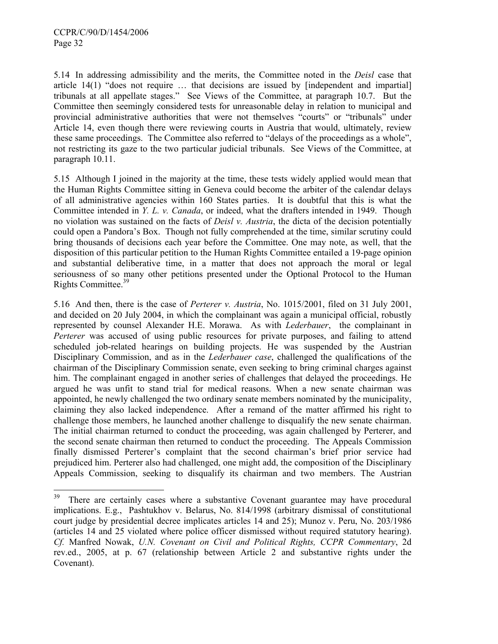5.14 In addressing admissibility and the merits, the Committee noted in the *Deisl* case that article 14(1) "does not require … that decisions are issued by [independent and impartial] tribunals at all appellate stages." See Views of the Committee, at paragraph 10.7. But the Committee then seemingly considered tests for unreasonable delay in relation to municipal and provincial administrative authorities that were not themselves "courts" or "tribunals" under Article 14, even though there were reviewing courts in Austria that would, ultimately, review these same proceedings. The Committee also referred to "delays of the proceedings as a whole", not restricting its gaze to the two particular judicial tribunals. See Views of the Committee, at paragraph 10.11.

5.15 Although I joined in the majority at the time, these tests widely applied would mean that the Human Rights Committee sitting in Geneva could become the arbiter of the calendar delays of all administrative agencies within 160 States parties. It is doubtful that this is what the Committee intended in *Y. L. v. Canada*, or indeed, what the drafters intended in 1949. Though no violation was sustained on the facts of *Deisl v. Austria*, the dicta of the decision potentially could open a Pandora's Box. Though not fully comprehended at the time, similar scrutiny could bring thousands of decisions each year before the Committee. One may note, as well, that the disposition of this particular petition to the Human Rights Committee entailed a 19-page opinion and substantial deliberative time, in a matter that does not approach the moral or legal seriousness of so many other petitions presented under the Optional Protocol to the Human Rights Committee.<sup>39</sup>

5.16 And then, there is the case of *Perterer v. Austria*, No. 1015/2001, filed on 31 July 2001, and decided on 20 July 2004, in which the complainant was again a municipal official, robustly represented by counsel Alexander H.E. Morawa. As with *Lederbauer*, the complainant in *Perterer* was accused of using public resources for private purposes, and failing to attend scheduled job-related hearings on building projects. He was suspended by the Austrian Disciplinary Commission, and as in the *Lederbauer case*, challenged the qualifications of the chairman of the Disciplinary Commission senate, even seeking to bring criminal charges against him. The complainant engaged in another series of challenges that delayed the proceedings. He argued he was unfit to stand trial for medical reasons. When a new senate chairman was appointed, he newly challenged the two ordinary senate members nominated by the municipality, claiming they also lacked independence. After a remand of the matter affirmed his right to challenge those members, he launched another challenge to disqualify the new senate chairman. The initial chairman returned to conduct the proceeding, was again challenged by Perterer, and the second senate chairman then returned to conduct the proceeding. The Appeals Commission finally dismissed Perterer's complaint that the second chairman's brief prior service had prejudiced him. Perterer also had challenged, one might add, the composition of the Disciplinary Appeals Commission, seeking to disqualify its chairman and two members. The Austrian

<sup>39</sup> There are certainly cases where a substantive Covenant guarantee may have procedural implications. E.g., Pashtukhov v. Belarus, No. 814/1998 (arbitrary dismissal of constitutional court judge by presidential decree implicates articles 14 and 25); Munoz v. Peru, No. 203/1986 (articles 14 and 25 violated where police officer dismissed without required statutory hearing). *Cf.* Manfred Nowak, *U.N. Covenant on Civil and Political Rights, CCPR Commentary*, 2d rev.ed., 2005, at p. 67 (relationship between Article 2 and substantive rights under the Covenant).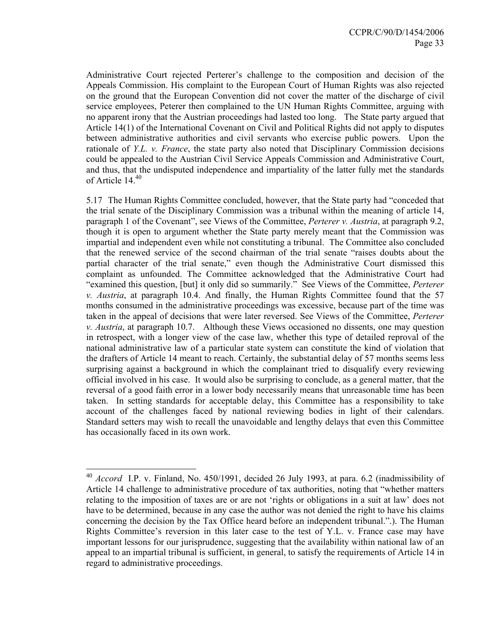Administrative Court rejected Perterer's challenge to the composition and decision of the Appeals Commission. His complaint to the European Court of Human Rights was also rejected on the ground that the European Convention did not cover the matter of the discharge of civil service employees, Peterer then complained to the UN Human Rights Committee, arguing with no apparent irony that the Austrian proceedings had lasted too long. The State party argued that Article 14(1) of the International Covenant on Civil and Political Rights did not apply to disputes between administrative authorities and civil servants who exercise public powers. Upon the rationale of *Y.L. v. France*, the state party also noted that Disciplinary Commission decisions could be appealed to the Austrian Civil Service Appeals Commission and Administrative Court, and thus, that the undisputed independence and impartiality of the latter fully met the standards of Article 14.<sup>40</sup>

5.17 The Human Rights Committee concluded, however, that the State party had "conceded that the trial senate of the Disciplinary Commission was a tribunal within the meaning of article 14, paragraph 1 of the Covenant", see Views of the Committee, *Perterer v. Austria*, at paragraph 9.2, though it is open to argument whether the State party merely meant that the Commission was impartial and independent even while not constituting a tribunal. The Committee also concluded that the renewed service of the second chairman of the trial senate "raises doubts about the partial character of the trial senate," even though the Administrative Court dismissed this complaint as unfounded. The Committee acknowledged that the Administrative Court had "examined this question, [but] it only did so summarily." See Views of the Committee, *Perterer v. Austria*, at paragraph 10.4. And finally, the Human Rights Committee found that the 57 months consumed in the administrative proceedings was excessive, because part of the time was taken in the appeal of decisions that were later reversed. See Views of the Committee, *Perterer v. Austria*, at paragraph 10.7. Although these Views occasioned no dissents, one may question in retrospect, with a longer view of the case law, whether this type of detailed reproval of the national administrative law of a particular state system can constitute the kind of violation that the drafters of Article 14 meant to reach. Certainly, the substantial delay of 57 months seems less surprising against a background in which the complainant tried to disqualify every reviewing official involved in his case. It would also be surprising to conclude, as a general matter, that the reversal of a good faith error in a lower body necessarily means that unreasonable time has been taken. In setting standards for acceptable delay, this Committee has a responsibility to take account of the challenges faced by national reviewing bodies in light of their calendars. Standard setters may wish to recall the unavoidable and lengthy delays that even this Committee has occasionally faced in its own work.

 $\overline{a}$ 

<sup>40</sup> *Accord* I.P. v. Finland, No. 450/1991, decided 26 July 1993, at para. 6.2 (inadmissibility of Article 14 challenge to administrative procedure of tax authorities, noting that "whether matters relating to the imposition of taxes are or are not 'rights or obligations in a suit at law' does not have to be determined, because in any case the author was not denied the right to have his claims concerning the decision by the Tax Office heard before an independent tribunal.".). The Human Rights Committee's reversion in this later case to the test of Y.L. v. France case may have important lessons for our jurisprudence, suggesting that the availability within national law of an appeal to an impartial tribunal is sufficient, in general, to satisfy the requirements of Article 14 in regard to administrative proceedings.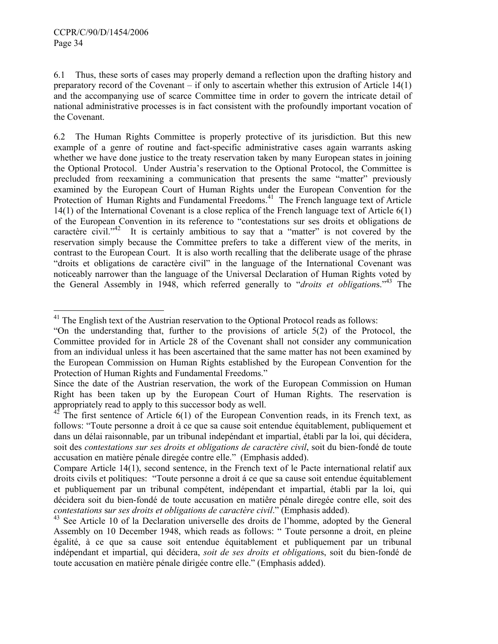6.1 Thus, these sorts of cases may properly demand a reflection upon the drafting history and preparatory record of the Covenant – if only to ascertain whether this extrusion of Article 14(1) and the accompanying use of scarce Committee time in order to govern the intricate detail of national administrative processes is in fact consistent with the profoundly important vocation of the Covenant.

6.2 The Human Rights Committee is properly protective of its jurisdiction. But this new example of a genre of routine and fact-specific administrative cases again warrants asking whether we have done justice to the treaty reservation taken by many European states in joining the Optional Protocol. Under Austria's reservation to the Optional Protocol, the Committee is precluded from reexamining a communication that presents the same "matter" previously examined by the European Court of Human Rights under the European Convention for the Protection of Human Rights and Fundamental Freedoms.<sup>41</sup> The French language text of Article 14(1) of the International Covenant is a close replica of the French language text of Article 6(1) of the European Convention in its reference to "contestations sur ses droits et obligations de caractère civil."<sup>42</sup> It is certainly ambitious to say that a "matter" is not covered by the reservation simply because the Committee prefers to take a different view of the merits, in contrast to the European Court. It is also worth recalling that the deliberate usage of the phrase "droits et obligations de caractère civil" in the language of the International Covenant was noticeably narrower than the language of the Universal Declaration of Human Rights voted by the General Assembly in 1948, which referred generally to "*droits et obligation*s."43 The

l  $41$  The English text of the Austrian reservation to the Optional Protocol reads as follows:

<sup>&</sup>quot;On the understanding that, further to the provisions of article 5(2) of the Protocol, the Committee provided for in Article 28 of the Covenant shall not consider any communication from an individual unless it has been ascertained that the same matter has not been examined by the European Commission on Human Rights established by the European Convention for the Protection of Human Rights and Fundamental Freedoms."

Since the date of the Austrian reservation, the work of the European Commission on Human Right has been taken up by the European Court of Human Rights. The reservation is appropriately read to apply to this successor body as well.

 $42$  The first sentence of Article 6(1) of the European Convention reads, in its French text, as follows: "Toute personne a droit à ce que sa cause soit entendue équitablement, publiquement et dans un délai raisonnable, par un tribunal indepéndant et impartial, établi par la loi, qui décidera, soit des *contestations sur ses droits et obligations de caractère civil*, soit du bien-fondé de toute accusation en matière pénale diregée contre elle." (Emphasis added).

Compare Article 14(1), second sentence, in the French text of le Pacte international relatif aux droits civils et politiques: "Toute personne a droit á ce que sa cause soit entendue équitablement et publiquement par un tribunal compétent, indépendant et impartial, établi par la loi, qui décidera soit du bien-fondé de toute accusation en matiêre pénale diregée contre elle, soit des *contestations* s*ur ses droits et obligations de caractère civil*." (Emphasis added).

<sup>&</sup>lt;sup>43</sup> See Article 10 of la Declaration universelle des droits de l'homme, adopted by the General Assembly on 10 December 1948, which reads as follows: " Toute personne a droit, en pleine égalité, à ce que sa cause soit entendue équitablement et publiquement par un tribunal indépendant et impartial, qui décidera, *soit de ses droits et obligation*s, soit du bien-fondé de toute accusation en matière pénale dirigée contre elle." (Emphasis added).